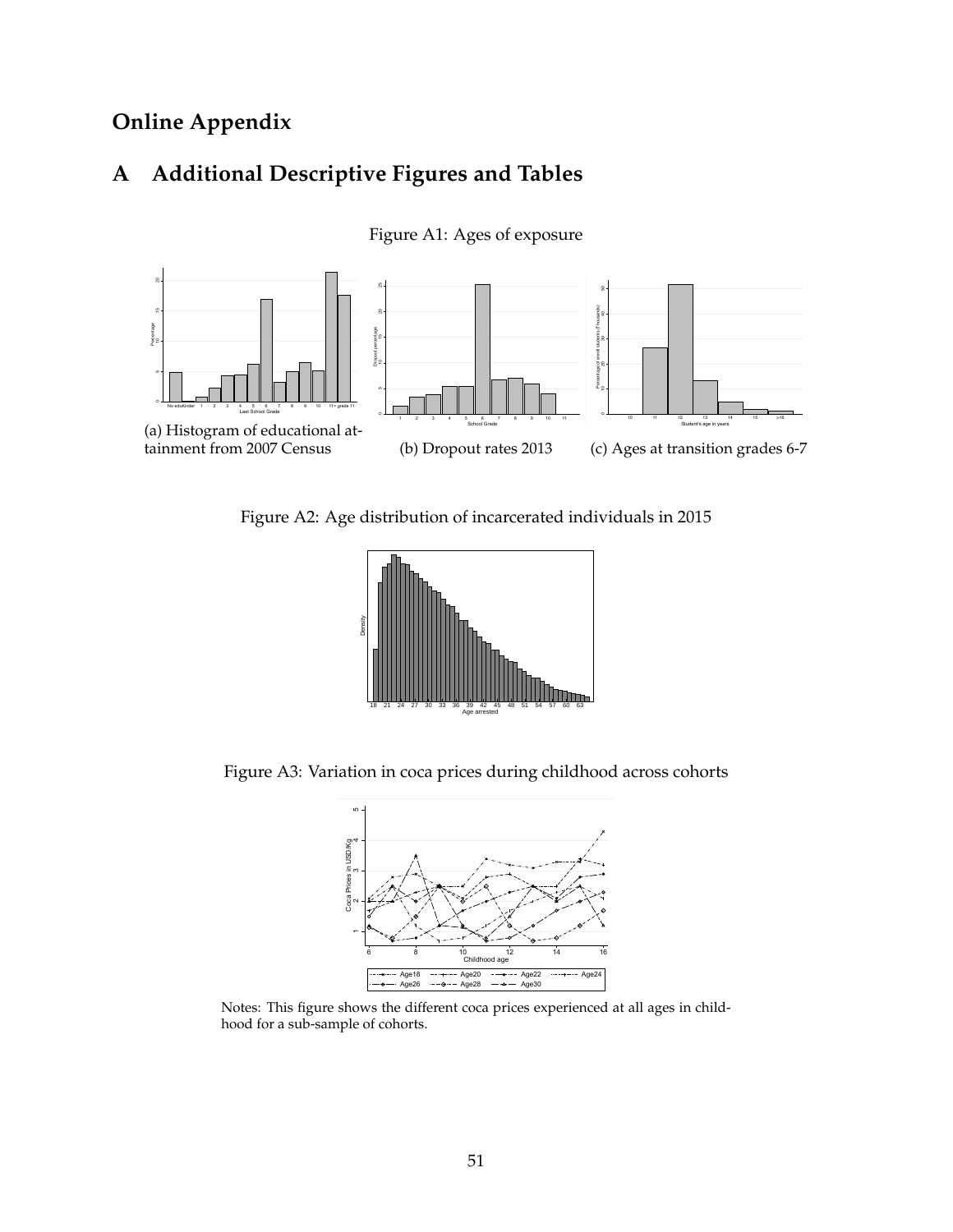# **Online Appendix**

# **A Additional Descriptive Figures and Tables**



Figure A1: Ages of exposure

Figure A2: Age distribution of incarcerated individuals in 2015



Figure A3: Variation in coca prices during childhood across cohorts



Notes: This figure shows the different coca prices experienced at all ages in childhood for a sub-sample of cohorts.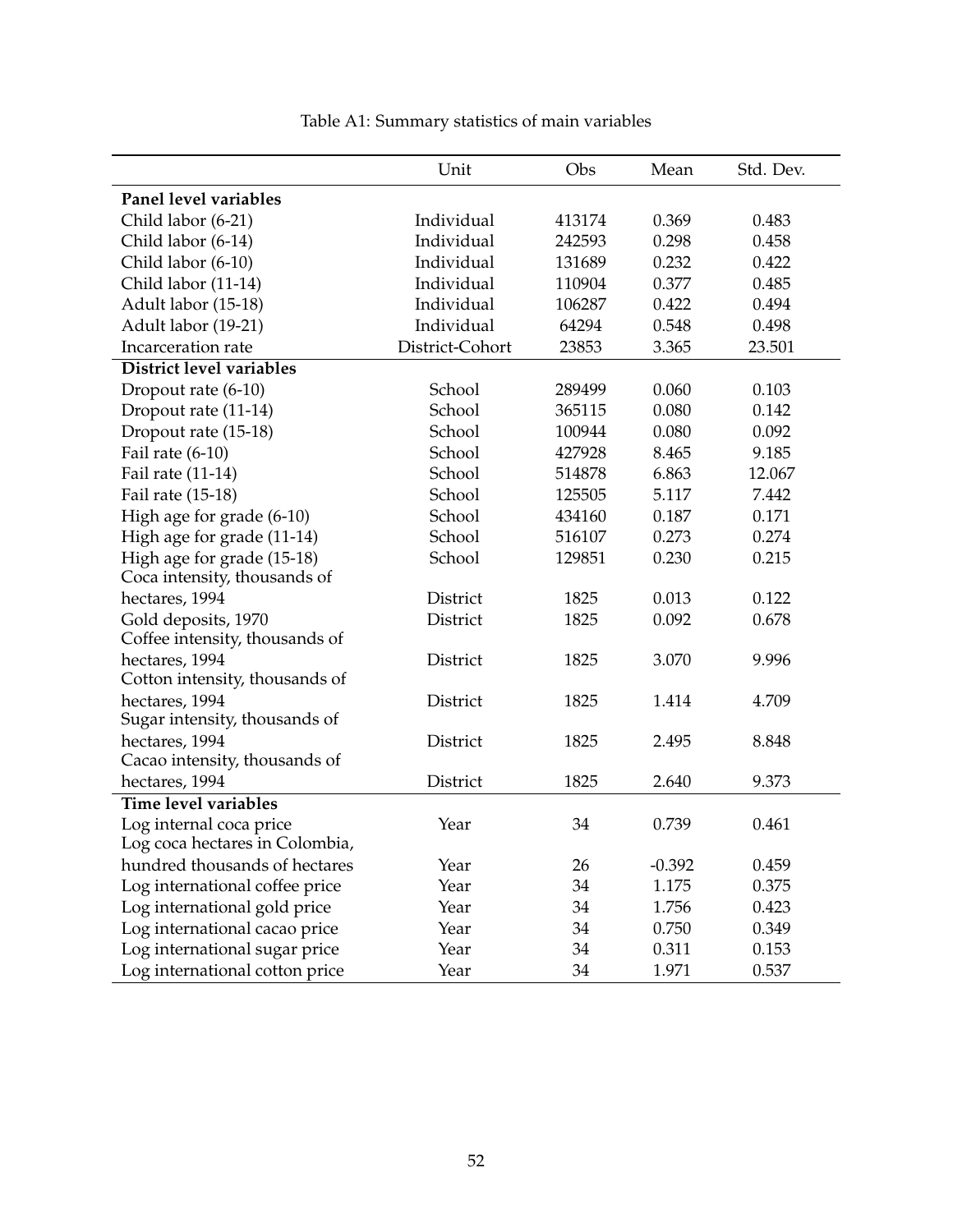|                                                 | Unit            | Obs    | Mean     | Std. Dev. |
|-------------------------------------------------|-----------------|--------|----------|-----------|
| Panel level variables                           |                 |        |          |           |
| Child labor (6-21)                              | Individual      | 413174 | 0.369    | 0.483     |
| Child labor (6-14)                              | Individual      | 242593 | 0.298    | 0.458     |
| Child labor (6-10)                              | Individual      | 131689 | 0.232    | 0.422     |
| Child labor (11-14)                             | Individual      | 110904 | 0.377    | 0.485     |
| Adult labor (15-18)                             | Individual      | 106287 | 0.422    | 0.494     |
| Adult labor (19-21)                             | Individual      | 64294  | 0.548    | 0.498     |
| Incarceration rate                              | District-Cohort | 23853  | 3.365    | 23.501    |
| District level variables                        |                 |        |          |           |
| Dropout rate (6-10)                             | School          | 289499 | 0.060    | 0.103     |
| Dropout rate (11-14)                            | School          | 365115 | 0.080    | 0.142     |
| Dropout rate (15-18)                            | School          | 100944 | 0.080    | 0.092     |
| Fail rate $(6-10)$                              | School          | 427928 | 8.465    | 9.185     |
| Fail rate (11-14)                               | School          | 514878 | 6.863    | 12.067    |
| Fail rate (15-18)                               | School          | 125505 | 5.117    | 7.442     |
| High age for grade (6-10)                       | School          | 434160 | 0.187    | 0.171     |
| High age for grade (11-14)                      | School          | 516107 | 0.273    | 0.274     |
| High age for grade (15-18)                      | School          | 129851 | 0.230    | 0.215     |
| Coca intensity, thousands of                    |                 |        |          |           |
| hectares, 1994                                  | District        | 1825   | 0.013    | 0.122     |
| Gold deposits, 1970                             | District        | 1825   | 0.092    | 0.678     |
| Coffee intensity, thousands of                  |                 |        |          |           |
| hectares, 1994                                  | District        | 1825   | 3.070    | 9.996     |
| Cotton intensity, thousands of                  |                 |        |          |           |
| hectares, 1994                                  | District        | 1825   | 1.414    | 4.709     |
| Sugar intensity, thousands of                   |                 |        |          |           |
| hectares, 1994<br>Cacao intensity, thousands of | District        | 1825   | 2.495    | 8.848     |
| hectares, 1994                                  | District        | 1825   | 2.640    | 9.373     |
| Time level variables                            |                 |        |          |           |
| Log internal coca price                         | Year            | 34     | 0.739    | 0.461     |
| Log coca hectares in Colombia,                  |                 |        |          |           |
| hundred thousands of hectares                   | Year            | 26     | $-0.392$ | 0.459     |
| Log international coffee price                  | Year            | 34     | 1.175    | 0.375     |
| Log international gold price                    | Year            | 34     | 1.756    | 0.423     |
| Log international cacao price                   | Year            | 34     | 0.750    | 0.349     |
| Log international sugar price                   | Year            | 34     | 0.311    | 0.153     |
| Log international cotton price                  | Year            | 34     | 1.971    | 0.537     |

Table A1: Summary statistics of main variables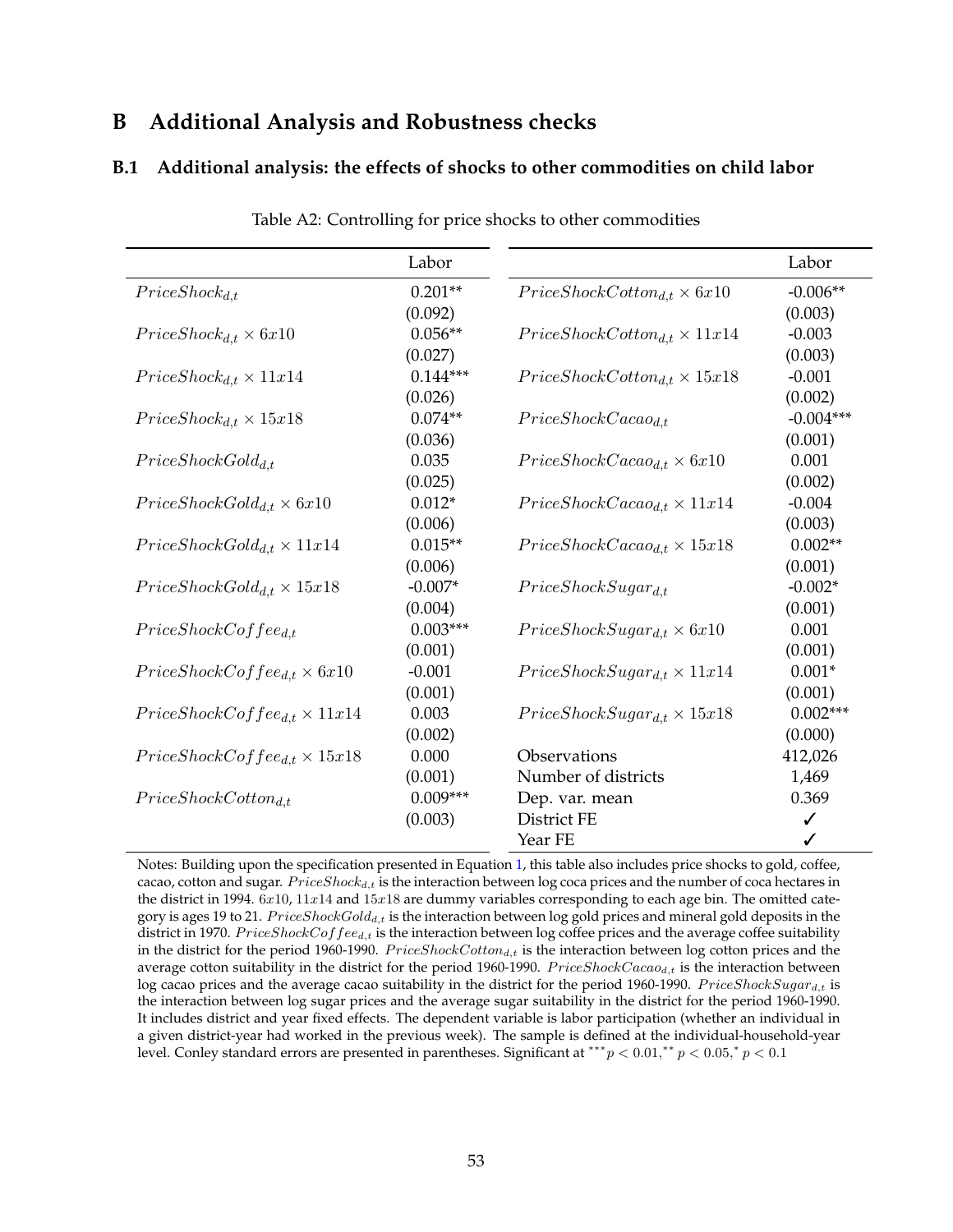## **B Additional Analysis and Robustness checks**

## **B.1 Additional analysis: the effects of shocks to other commodities on child labor**

<span id="page-2-0"></span>

|                                         | Labor      |                                        | Labor       |
|-----------------------------------------|------------|----------------------------------------|-------------|
| $Price Shock_{d,t}$                     | $0.201**$  | $Price ShockCottom_{d,t} \times 6x10$  | $-0.006**$  |
|                                         | (0.092)    |                                        | (0.003)     |
| $Price Shock_{d,t} \times 6x10$         | $0.056**$  | $Price ShockCottom_{d,t} \times 11x14$ | $-0.003$    |
|                                         | (0.027)    |                                        | (0.003)     |
| $Price Shock_{d,t} \times 11x14$        | $0.144***$ | $Price ShockCottom_{d,t} \times 15x18$ | $-0.001$    |
|                                         | (0.026)    |                                        | (0.002)     |
| $Price Shock_{d,t} \times 15x18$        | $0.074**$  | $Price ShockCacao_{d.t}$               | $-0.004***$ |
|                                         | (0.036)    |                                        | (0.001)     |
| $Price ShockGold_{d,t}$                 | 0.035      | $Price ShockCacao_{d,t} \times 6x10$   | 0.001       |
|                                         | (0.025)    |                                        | (0.002)     |
| $Price ShockGold_{d,t} \times 6x10$     | $0.012*$   | $Price ShockCacaod_{d,t} \times 11x14$ | $-0.004$    |
|                                         | (0.006)    |                                        | (0.003)     |
| $Price ShockGold_{d,t} \times 11x14$    | $0.015**$  | $Price ShockCacao_{d,t} \times 15x18$  | $0.002**$   |
|                                         | (0.006)    |                                        | (0.001)     |
| $Price ShockGold_{d,t} \times 15x18$    | $-0.007*$  | $Price ShockSugar_{d.t}$               | $-0.002*$   |
|                                         | (0.004)    |                                        | (0.001)     |
| $Price ShockC of fee_{d,t}$             | $0.003***$ | $Price ShockSugar_{d,t} \times 6x10$   | 0.001       |
|                                         | (0.001)    |                                        | (0.001)     |
| $Price ShockC of fee_{d,t} \times 6x10$ | $-0.001$   | $Price ShockSugar_{d,t} \times 11x14$  | $0.001*$    |
|                                         | (0.001)    |                                        | (0.001)     |
| $Price ShockCof fee_{d,t} \times 11x14$ | 0.003      | $Price ShockSugar_{d,t} \times 15x18$  | $0.002***$  |
|                                         | (0.002)    |                                        | (0.000)     |
| $Price ShockCoffee_{d,t} \times 15x18$  | 0.000      | Observations                           | 412,026     |
|                                         | (0.001)    | Number of districts                    | 1,469       |
| $Price ShockCottom_{d,t}$               | $0.009***$ | Dep. var. mean                         | 0.369       |
|                                         | (0.003)    | District FE                            | ✓           |
|                                         |            | Year FE                                | ✓           |

Table A2: Controlling for price shocks to other commodities

Notes: Building upon the specification presented in Equation [1,](#page--1-0) this table also includes price shocks to gold, coffee, cacao, cotton and sugar.  $Price Shock_{d,t}$  is the interaction between log coca prices and the number of coca hectares in the district in 1994.  $6x10$ ,  $11x14$  and  $15x18$  are dummy variables corresponding to each age bin. The omitted category is ages 19 to 21. PriceShockGold<sub>d,t</sub> is the interaction between log gold prices and mineral gold deposits in the district in 1970. PriceShockCoffee<sub>d,t</sub> is the interaction between log coffee prices and the average coffee suitability in the district for the period 1960-1990.  $Price ShockCottom_{d,t}$  is the interaction between log cotton prices and the average cotton suitability in the district for the period 1960-1990.  $Price ShockCaca_{d,t}$  is the interaction between log cacao prices and the average cacao suitability in the district for the period 1960-1990.  $Price ShockSugar_{d,t}$  is the interaction between log sugar prices and the average sugar suitability in the district for the period 1960-1990. It includes district and year fixed effects. The dependent variable is labor participation (whether an individual in a given district-year had worked in the previous week). The sample is defined at the individual-household-year level. Conley standard errors are presented in parentheses. Significant at \*\*\*  $p < 0.01$ ,\*\*  $p < 0.05$ ,\*  $p < 0.1$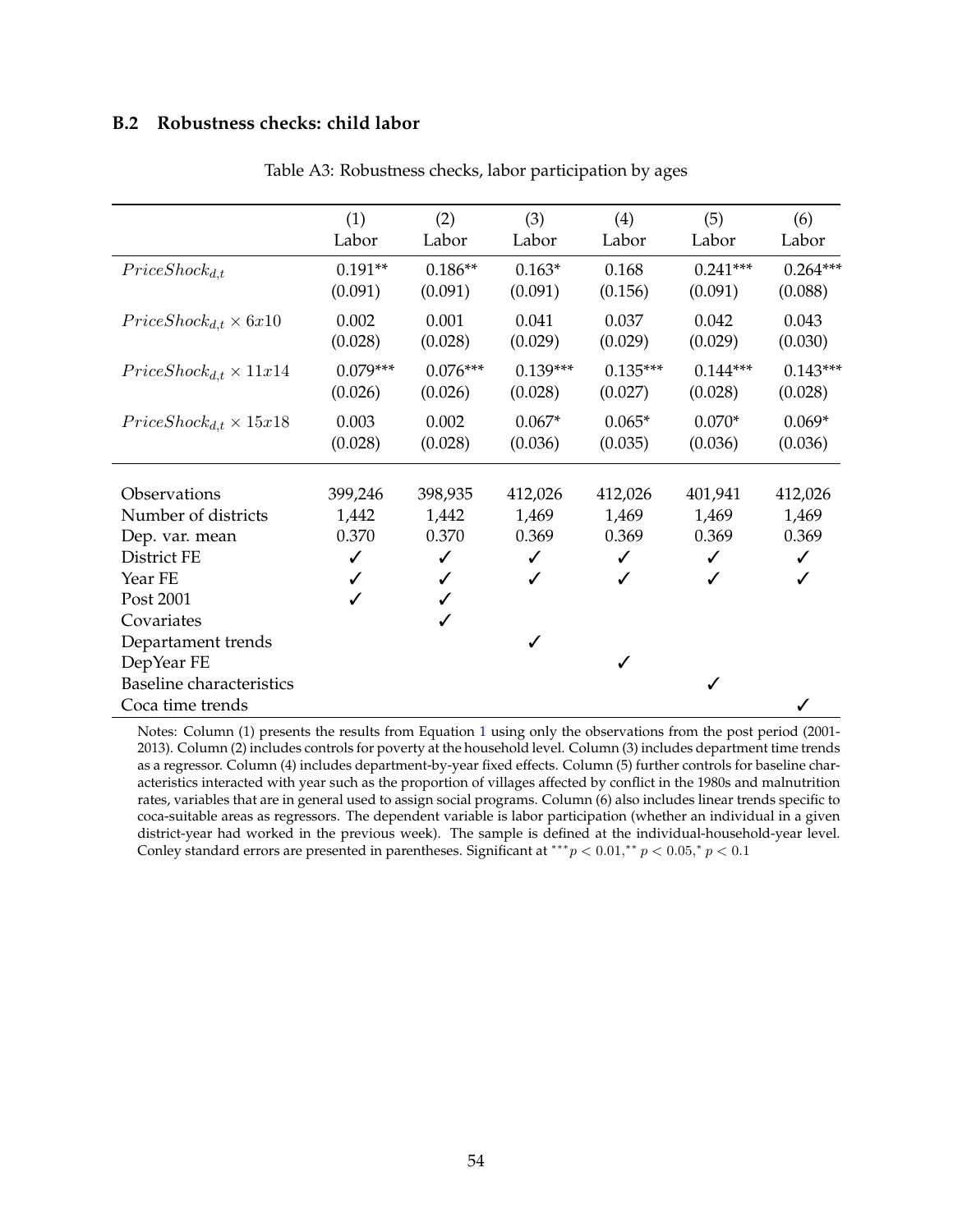## **B.2 Robustness checks: child labor**

|         |                                                             |                                                             |                                                               |                                                            | (6)                                                             |
|---------|-------------------------------------------------------------|-------------------------------------------------------------|---------------------------------------------------------------|------------------------------------------------------------|-----------------------------------------------------------------|
|         |                                                             |                                                             |                                                               |                                                            | Labor                                                           |
|         |                                                             |                                                             |                                                               |                                                            |                                                                 |
|         |                                                             |                                                             |                                                               |                                                            | $0.264***$                                                      |
|         |                                                             |                                                             |                                                               |                                                            | (0.088)                                                         |
| 0.002   | 0.001                                                       | 0.041                                                       | 0.037                                                         | 0.042                                                      | 0.043                                                           |
| (0.028) | (0.028)                                                     | (0.029)                                                     | (0.029)                                                       | (0.029)                                                    | (0.030)                                                         |
|         |                                                             |                                                             |                                                               |                                                            | $0.143***$                                                      |
| (0.026) | (0.026)                                                     | (0.028)                                                     | (0.027)                                                       | (0.028)                                                    | (0.028)                                                         |
|         |                                                             |                                                             |                                                               |                                                            | $0.069*$                                                        |
| (0.028) | (0.028)                                                     | (0.036)                                                     | (0.035)                                                       | (0.036)                                                    | (0.036)                                                         |
|         |                                                             |                                                             |                                                               |                                                            |                                                                 |
| 399,246 | 398,935                                                     | 412,026                                                     | 412,026                                                       | 401,941                                                    | 412,026                                                         |
| 1,442   | 1,442                                                       | 1,469                                                       | 1,469                                                         | 1,469                                                      | 1,469                                                           |
| 0.370   | 0.370                                                       | 0.369                                                       | 0.369                                                         | 0.369                                                      | 0.369                                                           |
| ✓       | ✓                                                           | ✓                                                           | ✓                                                             |                                                            | ✓                                                               |
|         |                                                             |                                                             | ✓                                                             |                                                            |                                                                 |
|         |                                                             |                                                             |                                                               |                                                            |                                                                 |
|         |                                                             |                                                             |                                                               |                                                            |                                                                 |
|         |                                                             | ✓                                                           |                                                               |                                                            |                                                                 |
|         |                                                             |                                                             | ✓                                                             |                                                            |                                                                 |
|         |                                                             |                                                             |                                                               | ✓                                                          |                                                                 |
|         |                                                             |                                                             |                                                               |                                                            |                                                                 |
|         | (1)<br>Labor<br>$0.191**$<br>(0.091)<br>$0.079***$<br>0.003 | (2)<br>Labor<br>$0.186**$<br>(0.091)<br>$0.076***$<br>0.002 | (3)<br>Labor<br>$0.163*$<br>(0.091)<br>$0.139***$<br>$0.067*$ | (4)<br>Labor<br>0.168<br>(0.156)<br>$0.135***$<br>$0.065*$ | (5)<br>Labor<br>$0.241***$<br>(0.091)<br>$0.144***$<br>$0.070*$ |

Table A3: Robustness checks, labor participation by ages

Notes: Column (1) presents the results from Equation [1](#page--1-0) using only the observations from the post period (2001- 2013). Column (2) includes controls for poverty at the household level. Column (3) includes department time trends as a regressor. Column (4) includes department-by-year fixed effects. Column (5) further controls for baseline characteristics interacted with year such as the proportion of villages affected by conflict in the 1980s and malnutrition rates, variables that are in general used to assign social programs. Column (6) also includes linear trends specific to coca-suitable areas as regressors. The dependent variable is labor participation (whether an individual in a given district-year had worked in the previous week). The sample is defined at the individual-household-year level. Conley standard errors are presented in parentheses. Significant at \*\*\*  $p < 0.01$ ,\*\*  $p < 0.05$ ,\*  $p < 0.1$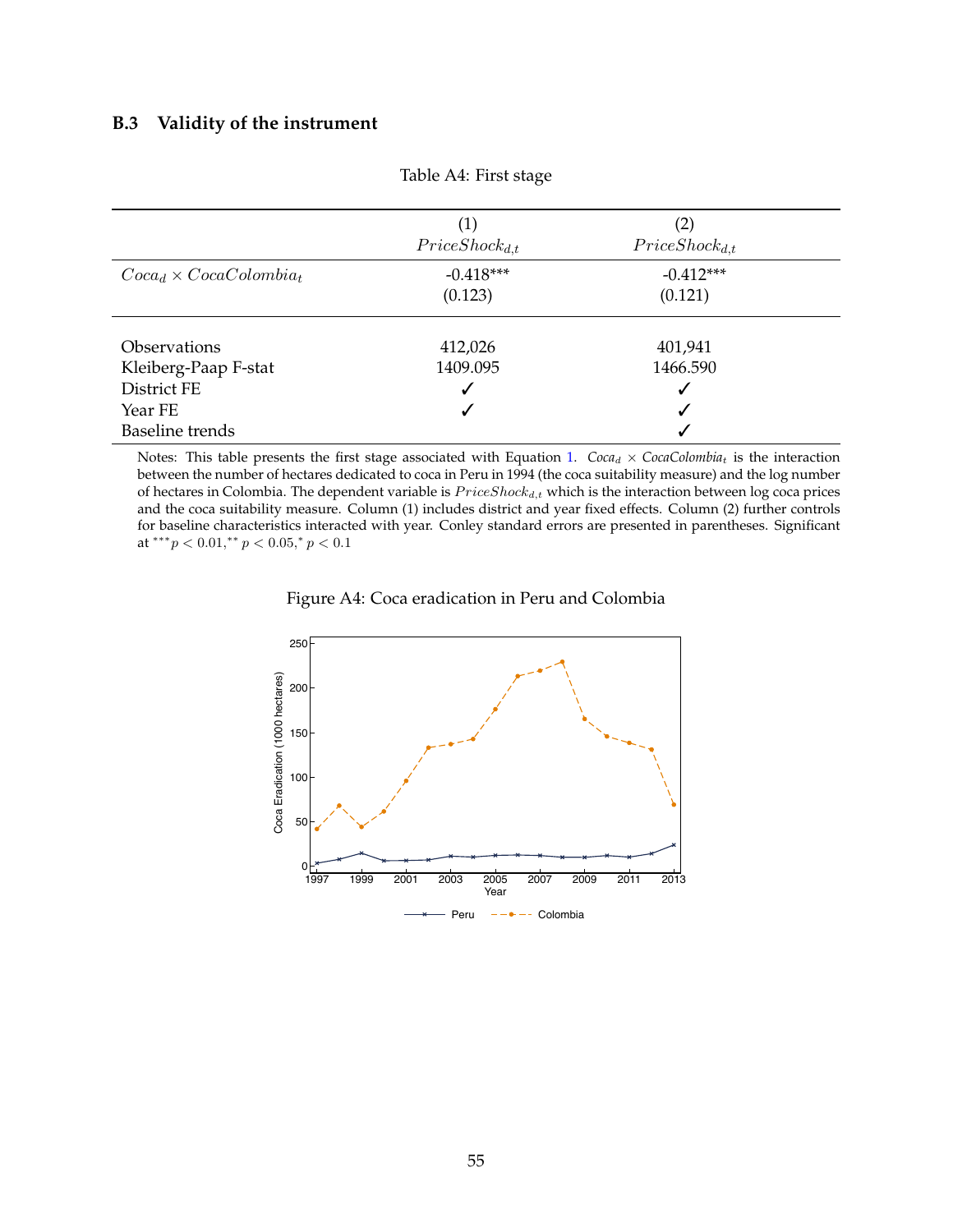## **B.3 Validity of the instrument**

|                                | (1)                 | (2)                 |  |
|--------------------------------|---------------------|---------------------|--|
|                                | $Price Shock_{d,t}$ | $Price Shock_{d,t}$ |  |
| $Coca_d \times CocaColombia_t$ | $-0.418***$         | $-0.412***$         |  |
|                                | (0.123)             | (0.121)             |  |
| <b>Observations</b>            | 412,026             | 401,941             |  |
| Kleiberg-Paap F-stat           | 1409.095            | 1466.590            |  |
| District FE                    |                     | √                   |  |
| Year FE                        |                     | ✓                   |  |
| <b>Baseline</b> trends         |                     |                     |  |

Table A4: First stage

Notes: This table presents the first stage associated with Equation [1.](#page--1-0)  $Coca_d \times CocaColombia_t$  is the interaction between the number of hectares dedicated to coca in Peru in 1994 (the coca suitability measure) and the log number of hectares in Colombia. The dependent variable is  $Price Shock_{d,t}$  which is the interaction between log coca prices and the coca suitability measure. Column (1) includes district and year fixed effects. Column (2) further controls for baseline characteristics interacted with year. Conley standard errors are presented in parentheses. Significant at \*\*\* $p < 0.01$ ,\*\* $p < 0.05$ ,\* $p < 0.1$ 

Figure A4: Coca eradication in Peru and Colombia

<span id="page-4-0"></span>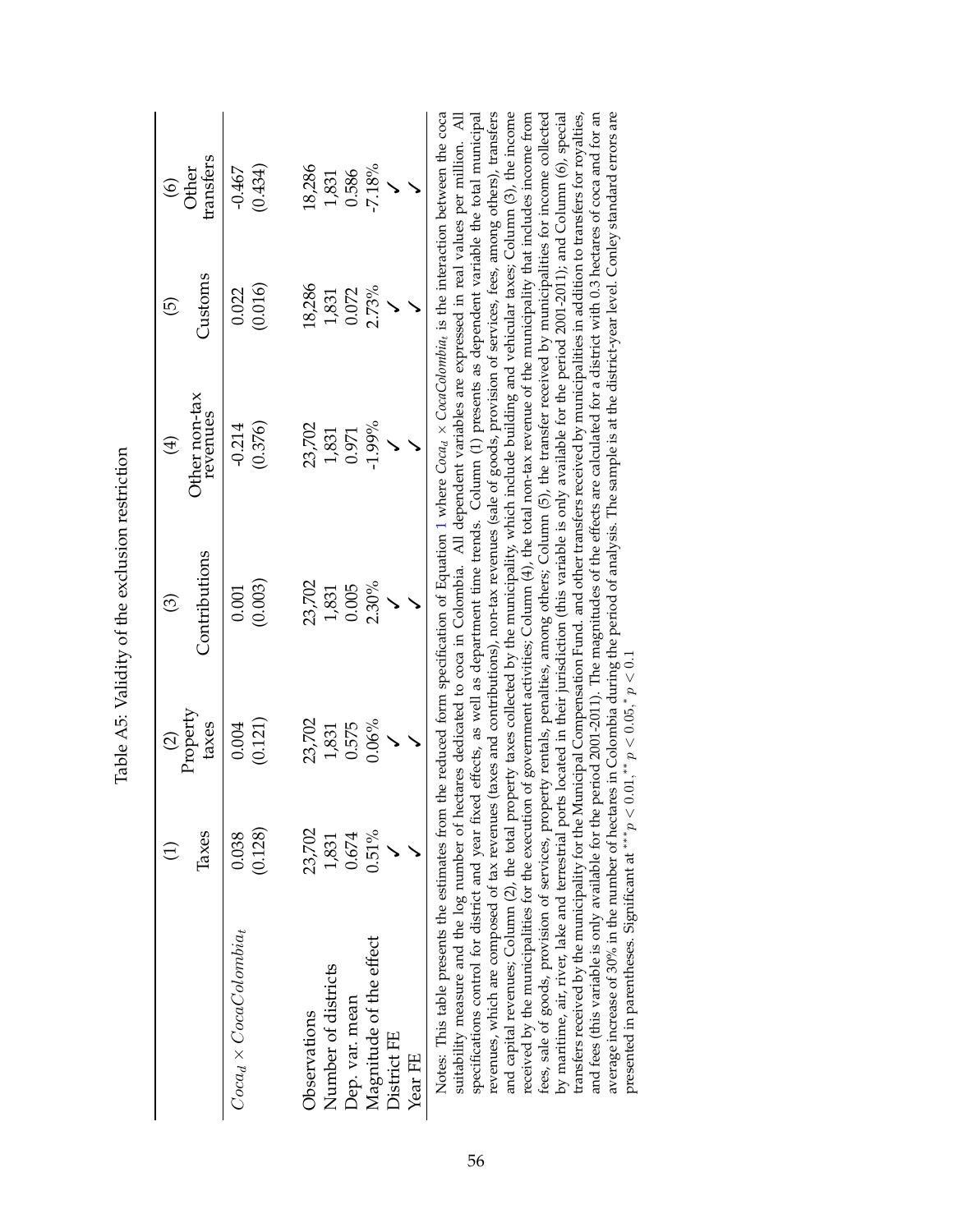|                              |          | $(2)$<br>Property | ල              | $\bigoplus$               | ල              | $6$<br>Other |
|------------------------------|----------|-------------------|----------------|---------------------------|----------------|--------------|
|                              | Taxes    | taxes             | Contributions  | Other non-tax<br>revenues | Customs        | ransfers     |
| $Cocad \times CocaColombiat$ | 0.038    | 0.004             | 0.001          | $-0.214$                  | 0.022          | $-0.467$     |
|                              | (0.128)  | (0.121)           | (0.003)        | (0.376)                   | (0.016)        | (0.434)      |
| Observations                 | 23,702   | 23,702            | 23,702         | 23,702                    | 18,286         | 18,286       |
| Number of districts          | 1,831    |                   |                |                           |                | 1,831        |
| Dep. var. mean               | 0.674    | 1,831<br>0.575    | 1,831<br>0.005 | 1,831<br>0.971            | 1,831<br>0.072 | 0.586        |
| Magnitude of the effect      | $0.51\%$ | 0.06%             | 2.30%          | $-1.99\%$                 | 2.73%          | $-7.18%$     |
| District FE                  |          |                   |                |                           |                |              |
| Year FE                      |          |                   |                |                           |                |              |

Table A5: Validity of the exclusion restriction Table A5: Validity of the exclusion restriction

revenues, which are composed of tax revenues (taxes and contributions), non-tax revenues (sale of goods, provision of services, fees, among others), transfers and capital revenues; Column (2), the total property taxes collected by the municipality, which include building and vehicular taxes; Column (3), the income fees, sale of goods, provision of services, property rentals, penalties, among others; Column (5), the transfer received by municipalities for income collected and fees (this variable is only available for the period 2001-2011). The magnitudes of the effects are calculated for a district with 0.3 hectares of coca and for an average increase of 30% in the number of hectares in Colombia during the period of analysis. The sample is at the district-year level. Conley standard errors are specifications control for district and year fixed effects, as well as department time trends. Column (1) presents as dependent variable the total municipal received by the municipalities for the execution of government activities; Column (4), the total non-tax revenue of the municipality that includes income from by maritime, air, river, lake and terrestrial ports located in their jurisdiction (this variable is only available for the period 2001-2011); and Column (6), special transfers received by the municipality for the Municipal Compensation Fund. and other transfers received by municipalities in addition to transfers for royalties, Notes: This table presents the estimates from the reduced form specification of Equation [1](#page--1-0) where *Coca*d × *CocaColombia*t is the interaction between the coca suitability measure and the log number of hectares dedicated to coca in Colombia. All dependent variables are expressed in real values per million. All suitability measure and the log number of hectares dedicated to coca in Colombia. All dependent variables are expressed in real values per million. All specifications control for district and year fixed effects, as well as department time trends. Column (1) presents as dependent variable the total municipal revenues, which are composed of tax revenues (taxes and contributions), non-tax revenues (sale of goods, provision of services, fees, among others), transfers and capital revenues; Column (2), the total property taxes collected by the municipality, which include building and vehicular taxes; Column (3), the income received by the municipalities for the execution of government activities; Column (4), the total non-tax revenue of the municipality that includes income from<br>fore and of coorder contribution of commission constantion come fees, sale of goods, provision of services, property rentals, penalties, among others; Column (5), the transfer received by municipalities for income collected by maritime, air, river, lake and terrestrial ports located in their jurisdiction (this variable is only available for the period 2001-2011); and Column (6), special transfers received by the municipality for the Municipal Compensation Fund. and other transfers received by municipalities in addition to transfers for royalties, and fees (this variable is only available for the period 2001-2011). The magnitudes of the effects are calculated for a district with 0.3 hectares of coca and for an average increase of 30% in the number of hectares in Colombia during the period of analysis. The sample is at the district-year level. Conley standard errors are presented in parentheses. Significant at \*\*\*  $p < 0.01$ , \*\*  $p < 0.05$ , \*  $p < 0.1$ presented in parentheses. Significant at  $***p < 0.01$ ,  $**p < 0.05$ ,  $*p < 0.1$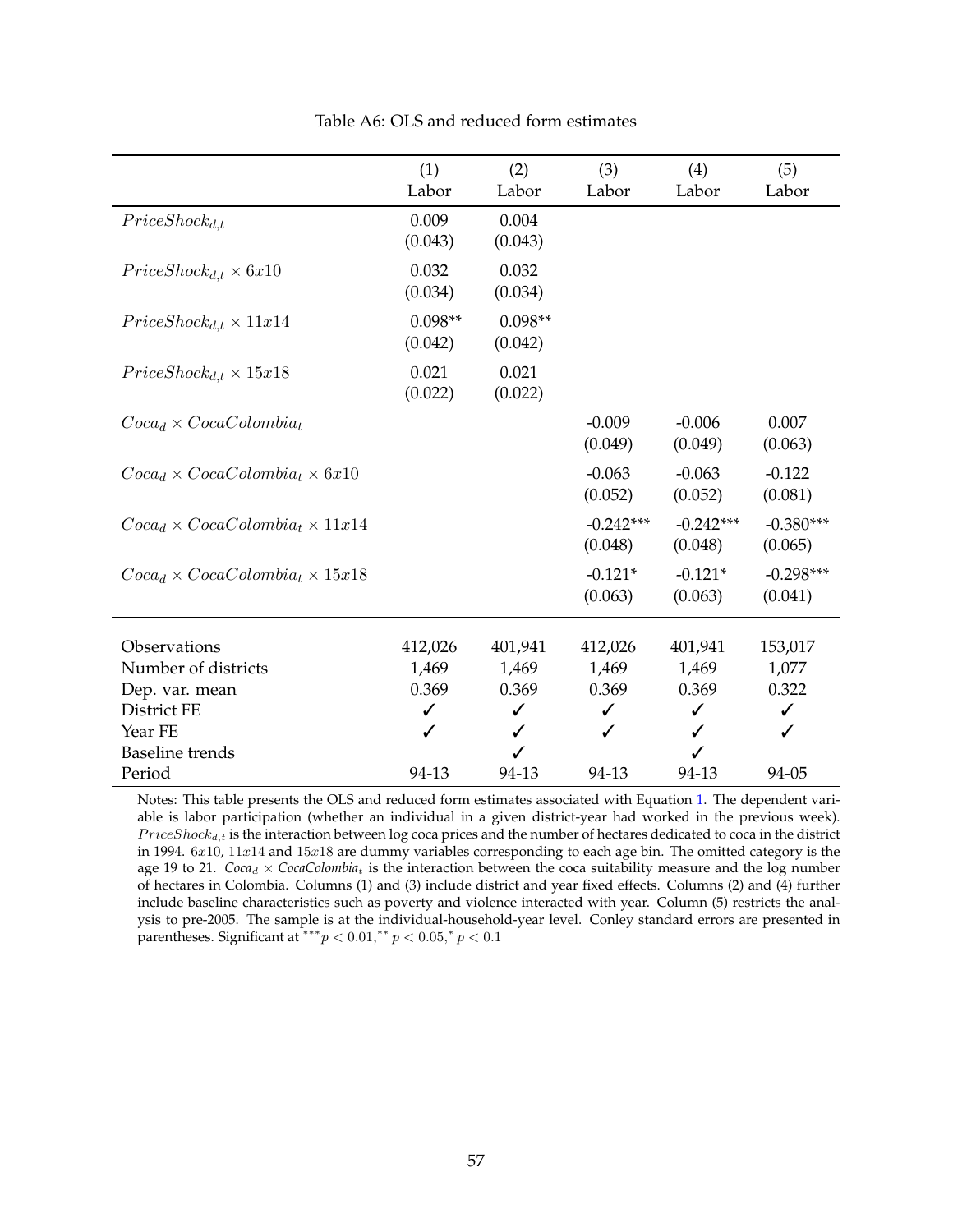|                                             | (1)<br>Labor         | (2)<br>Labor         | (3)<br>Labor           | (4)<br>Labor           | (5)<br>Labor           |
|---------------------------------------------|----------------------|----------------------|------------------------|------------------------|------------------------|
| $Price Shock_{d,t}$                         | 0.009<br>(0.043)     | 0.004<br>(0.043)     |                        |                        |                        |
| $Price Shock_{d,t} \times 6x10$             | 0.032<br>(0.034)     | 0.032<br>(0.034)     |                        |                        |                        |
| $Price Shock_{d,t} \times 11x14$            | $0.098**$<br>(0.042) | $0.098**$<br>(0.042) |                        |                        |                        |
| $Price Shock_{d,t} \times 15x18$            | 0.021<br>(0.022)     | 0.021<br>(0.022)     |                        |                        |                        |
| $Coca_d \times CocaColombia_t$              |                      |                      | $-0.009$<br>(0.049)    | $-0.006$<br>(0.049)    | 0.007<br>(0.063)       |
| $Coca_d \times CocaColombia_t \times 6x10$  |                      |                      | $-0.063$<br>(0.052)    | $-0.063$<br>(0.052)    | $-0.122$<br>(0.081)    |
| $Coca_d \times CocaColombia_t \times 11x14$ |                      |                      | $-0.242***$<br>(0.048) | $-0.242***$<br>(0.048) | $-0.380***$<br>(0.065) |
| $Coca_d \times CocaColombia_t \times 15x18$ |                      |                      | $-0.121*$<br>(0.063)   | $-0.121*$<br>(0.063)   | $-0.298***$<br>(0.041) |
| Observations                                | 412,026              | 401,941              | 412,026                | 401,941                | 153,017                |
| Number of districts                         | 1,469                | 1,469                | 1,469                  | 1,469                  | 1,077                  |
| Dep. var. mean                              | 0.369                | 0.369                | 0.369                  | 0.369                  | 0.322                  |
| District FE                                 | ✓                    | ✓                    | ✓                      | ✓                      | ✓                      |
| Year FE                                     | ✓                    |                      | ✓                      | ✓                      | ✓                      |
| <b>Baseline</b> trends                      |                      |                      |                        |                        |                        |
| Period                                      | 94-13                | 94-13                | 94-13                  | 94-13                  | 94-05                  |

Table A6: OLS and reduced form estimates

Notes: This table presents the OLS and reduced form estimates associated with Equation [1.](#page--1-0) The dependent variable is labor participation (whether an individual in a given district-year had worked in the previous week).  $Price Shock_{d,t}$  is the interaction between log coca prices and the number of hectares dedicated to coca in the district in 1994.  $6x10$ ,  $11x14$  and  $15x18$  are dummy variables corresponding to each age bin. The omitted category is the age 19 to 21. *Coca<sub>d</sub>*  $\times$  *CocaColombia<sub>t</sub>* is the interaction between the coca suitability measure and the log number of hectares in Colombia. Columns (1) and (3) include district and year fixed effects. Columns (2) and (4) further include baseline characteristics such as poverty and violence interacted with year. Column (5) restricts the analysis to pre-2005. The sample is at the individual-household-year level. Conley standard errors are presented in parentheses. Significant at \*\*\*  $p < 0.01$ ,\*\*  $p < 0.05$ ,\*  $p < 0.1$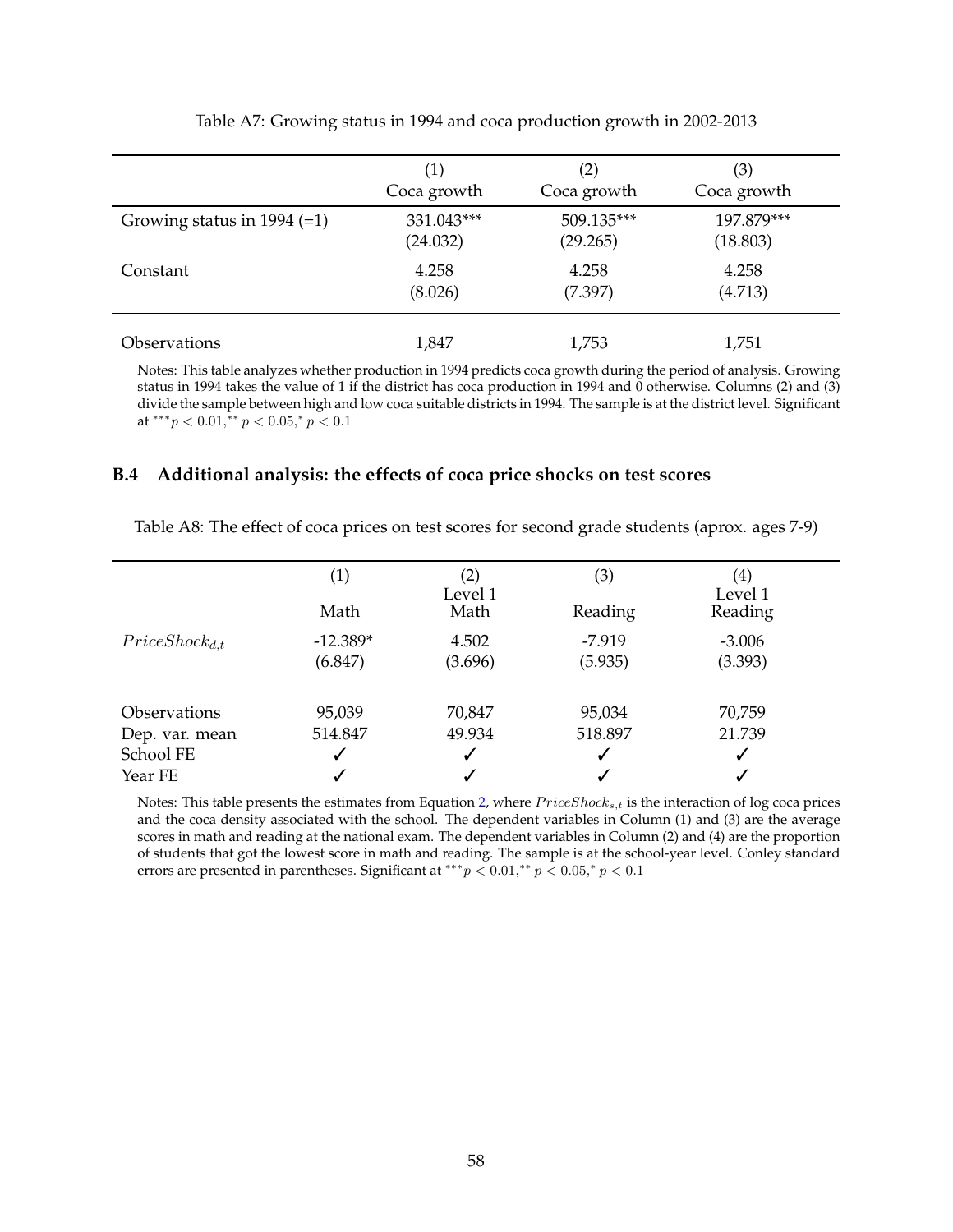|                               | (1)         | (2)         | (3)         |
|-------------------------------|-------------|-------------|-------------|
|                               | Coca growth | Coca growth | Coca growth |
| Growing status in 1994 $(=1)$ | 331.043***  | 509.135***  | 197.879***  |
|                               | (24.032)    | (29.265)    | (18.803)    |
| Constant                      | 4.258       | 4.258       | 4.258       |
|                               | (8.026)     | (7.397)     | (4.713)     |
| <i><b>Observations</b></i>    | 1,847       | 1,753       | 1,751       |

Table A7: Growing status in 1994 and coca production growth in 2002-2013

Notes: This table analyzes whether production in 1994 predicts coca growth during the period of analysis. Growing status in 1994 takes the value of 1 if the district has coca production in 1994 and 0 otherwise. Columns (2) and (3) divide the sample between high and low coca suitable districts in 1994. The sample is at the district level. Significant at  $^{***}p < 0.01, ^{**}p < 0.05, ^{*}p < 0.1$ 

### **B.4 Additional analysis: the effects of coca price shocks on test scores**

| Table A8: The effect of coca prices on test scores for second grade students (aprox. ages 7-9) |  |  |
|------------------------------------------------------------------------------------------------|--|--|
|------------------------------------------------------------------------------------------------|--|--|

|                                              | $\left( 1\right)$<br>Math | (2)<br>Level 1<br>Math | (3)<br>Reading      | $\left( 4\right)$<br>Level 1<br>Reading |  |
|----------------------------------------------|---------------------------|------------------------|---------------------|-----------------------------------------|--|
| $Price Shock_{d,t}$                          | $-12.389*$<br>(6.847)     | 4.502<br>(3.696)       | $-7.919$<br>(5.935) | $-3.006$<br>(3.393)                     |  |
| <i><b>Observations</b></i><br>Dep. var. mean | 95,039<br>514.847         | 70,847<br>49.934       | 95,034<br>518.897   | 70,759<br>21.739                        |  |
| School FE<br>Year FE                         |                           | √<br>√                 | ✓                   | ✓<br>v                                  |  |

Notes: This table presents the estimates from Equation [2,](#page--1-1) where  $Price Shock_{s,t}$  is the interaction of log coca prices and the coca density associated with the school. The dependent variables in Column (1) and (3) are the average scores in math and reading at the national exam. The dependent variables in Column (2) and (4) are the proportion of students that got the lowest score in math and reading. The sample is at the school-year level. Conley standard errors are presented in parentheses. Significant at \*\*\*  $p < 0.01$ ,\*\*  $p < 0.05$ ,\*  $p < 0.1$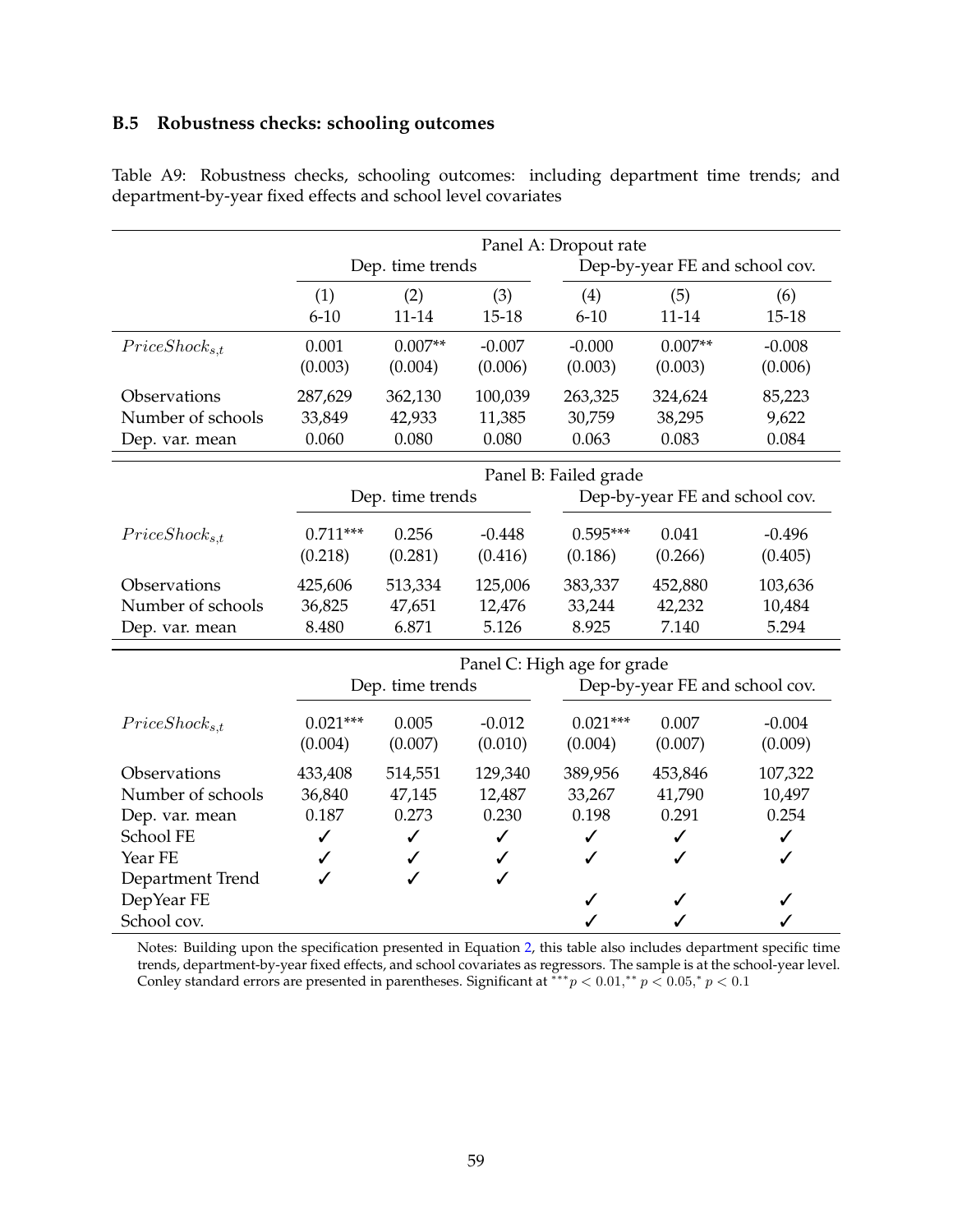## **B.5 Robustness checks: schooling outcomes**

|                     |              |                  |              | Panel A: Dropout rate       |                                |              |
|---------------------|--------------|------------------|--------------|-----------------------------|--------------------------------|--------------|
|                     |              | Dep. time trends |              |                             | Dep-by-year FE and school cov. |              |
|                     | (1)          | (2)              | (3)          | (4)                         | (5)                            | (6)          |
|                     | $6 - 10$     | $11 - 14$        | $15 - 18$    | $6 - 10$                    | $11 - 14$                      | $15 - 18$    |
| $Price Shock_{s,t}$ | 0.001        | $0.007**$        | $-0.007$     | $-0.000$                    | $0.007**$                      | $-0.008$     |
|                     | (0.003)      | (0.004)          | (0.006)      | (0.003)                     | (0.003)                        | (0.006)      |
| Observations        | 287,629      | 362,130          | 100,039      | 263,325                     | 324,624                        | 85,223       |
| Number of schools   | 33,849       | 42,933           | 11,385       | 30,759                      | 38,295                         | 9,622        |
| Dep. var. mean      | 0.060        | 0.080            | 0.080        | 0.063                       | 0.083                          | 0.084        |
|                     |              |                  |              | Panel B: Failed grade       |                                |              |
|                     |              | Dep. time trends |              |                             | Dep-by-year FE and school cov. |              |
| $Price Shock_{s,t}$ | $0.711***$   | 0.256            | $-0.448$     | $0.595***$                  | 0.041                          | $-0.496$     |
|                     | (0.218)      | (0.281)          | (0.416)      | (0.186)                     | (0.266)                        | (0.405)      |
| Observations        | 425,606      | 513,334          | 125,006      | 383,337                     | 452,880                        | 103,636      |
| Number of schools   | 36,825       | 47,651           | 12,476       | 33,244                      | 42,232                         | 10,484       |
| Dep. var. mean      | 8.480        | 6.871            | 5.126        | 8.925                       | 7.140                          | 5.294        |
|                     |              |                  |              | Panel C: High age for grade |                                |              |
|                     |              | Dep. time trends |              |                             | Dep-by-year FE and school cov. |              |
| $Price Shock_{s,t}$ | $0.021***$   | 0.005            | $-0.012$     | $0.021***$                  | 0.007                          | $-0.004$     |
|                     | (0.004)      | (0.007)          | (0.010)      | (0.004)                     | (0.007)                        | (0.009)      |
| Observations        | 433,408      | 514,551          | 129,340      | 389,956                     | 453,846                        | 107,322      |
| Number of schools   | 36,840       | 47,145           | 12,487       | 33,267                      | 41,790                         | 10,497       |
| Dep. var. mean      | 0.187        | 0.273            | 0.230        | 0.198                       | 0.291                          | 0.254        |
| School FE           | $\checkmark$ | $\checkmark$     | $\checkmark$ | $\checkmark$                | $\checkmark$                   | $\checkmark$ |
| Year FE             | ✓            | ✓                | ✓            | ℐ                           | ℐ                              | ✓            |
| Department Trend    | ✓            |                  | ✓            |                             |                                |              |
| DepYear FE          |              |                  |              | ✓                           | ✓                              |              |
| School cov.         |              |                  |              | ✓                           | ✓                              |              |

Table A9: Robustness checks, schooling outcomes: including department time trends; and department-by-year fixed effects and school level covariates

Notes: Building upon the specification presented in Equation [2,](#page--1-1) this table also includes department specific time trends, department-by-year fixed effects, and school covariates as regressors. The sample is at the school-year level. Conley standard errors are presented in parentheses. Significant at  $** p < 0.01, ** p < 0.05, * p < 0.1$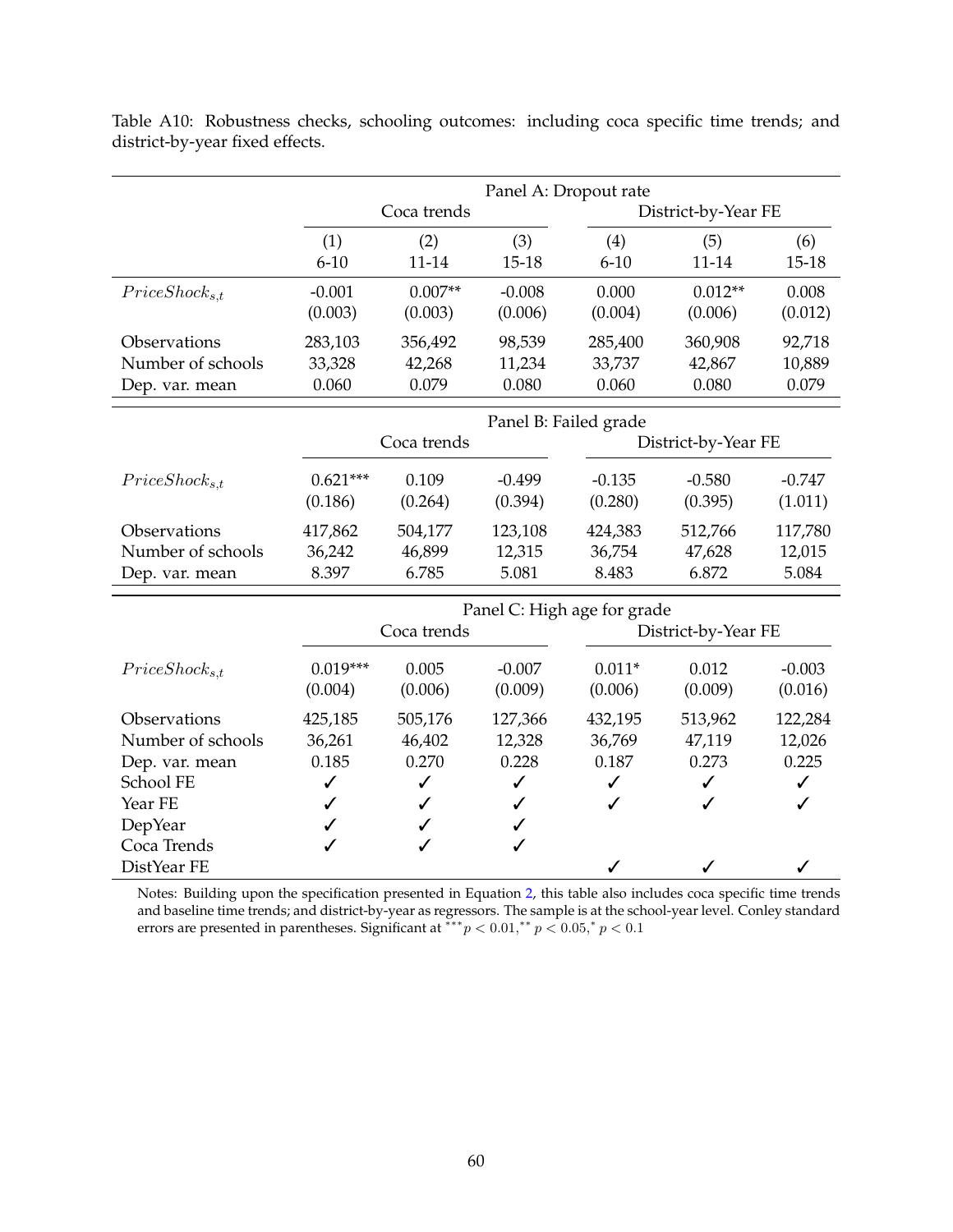|                     |              | Panel A: Dropout rate |              |                             |                     |              |
|---------------------|--------------|-----------------------|--------------|-----------------------------|---------------------|--------------|
|                     |              | Coca trends           |              |                             | District-by-Year FE |              |
|                     | (1)          | (2)                   | (3)          | (4)                         | (5)                 | (6)          |
|                     | $6 - 10$     | $11 - 14$             | $15 - 18$    | $6 - 10$                    | $11 - 14$           | $15 - 18$    |
| $Price Shock_{s,t}$ | $-0.001$     | $0.007**$             | $-0.008$     | 0.000                       | $0.012**$           | 0.008        |
|                     | (0.003)      | (0.003)               | (0.006)      | (0.004)                     | (0.006)             | (0.012)      |
| Observations        | 283,103      | 356,492               | 98,539       | 285,400                     | 360,908             | 92,718       |
| Number of schools   | 33,328       | 42,268                | 11,234       | 33,737                      | 42,867              | 10,889       |
| Dep. var. mean      | 0.060        | 0.079                 | 0.080        | 0.060                       | 0.080               | 0.079        |
|                     |              |                       |              | Panel B: Failed grade       |                     |              |
|                     |              | Coca trends           |              |                             | District-by-Year FE |              |
| $Price Shock_{s,t}$ | $0.621***$   | 0.109                 | $-0.499$     | $-0.135$                    | $-0.580$            | $-0.747$     |
|                     | (0.186)      | (0.264)               | (0.394)      | (0.280)                     | (0.395)             | (1.011)      |
| Observations        | 417,862      | 504,177               | 123,108      | 424,383                     | 512,766             | 117,780      |
| Number of schools   | 36,242       | 46,899                | 12,315       | 36,754                      | 47,628              | 12,015       |
| Dep. var. mean      | 8.397        | 6.785                 | 5.081        | 8.483                       | 6.872               | 5.084        |
|                     |              |                       |              | Panel C: High age for grade |                     |              |
|                     |              | Coca trends           |              |                             | District-by-Year FE |              |
| $Price Shock_{s,t}$ | $0.019***$   | 0.005                 | $-0.007$     | $0.011*$                    | 0.012               | $-0.003$     |
|                     | (0.004)      | (0.006)               | (0.009)      | (0.006)                     | (0.009)             | (0.016)      |
| Observations        | 425,185      | 505,176               | 127,366      | 432,195                     | 513,962             | 122,284      |
| Number of schools   | 36,261       | 46,402                | 12,328       | 36,769                      | 47,119              | 12,026       |
| Dep. var. mean      | 0.185        | 0.270                 | 0.228        | 0.187                       | 0.273               | 0.225        |
| School FE           | $\checkmark$ | ✓                     | $\checkmark$ | ✓                           | $\checkmark$        | $\checkmark$ |
| Year FE             | ✓            |                       | ✓            | ✓                           | ✓                   | ✓            |
| <b>DepYear</b>      | ✓            |                       | ✓            |                             |                     |              |
| Coca Trends         | ✓            | ✓                     | ✓            |                             |                     |              |
| DistYear FE         |              |                       |              | ✓                           |                     |              |

Table A10: Robustness checks, schooling outcomes: including coca specific time trends; and district-by-year fixed effects.

Notes: Building upon the specification presented in Equation [2,](#page--1-1) this table also includes coca specific time trends and baseline time trends; and district-by-year as regressors. The sample is at the school-year level. Conley standard errors are presented in parentheses. Significant at \*\*\*  $p < 0.01$ ,\*\*  $p < 0.05$ ,\*  $p < 0.1$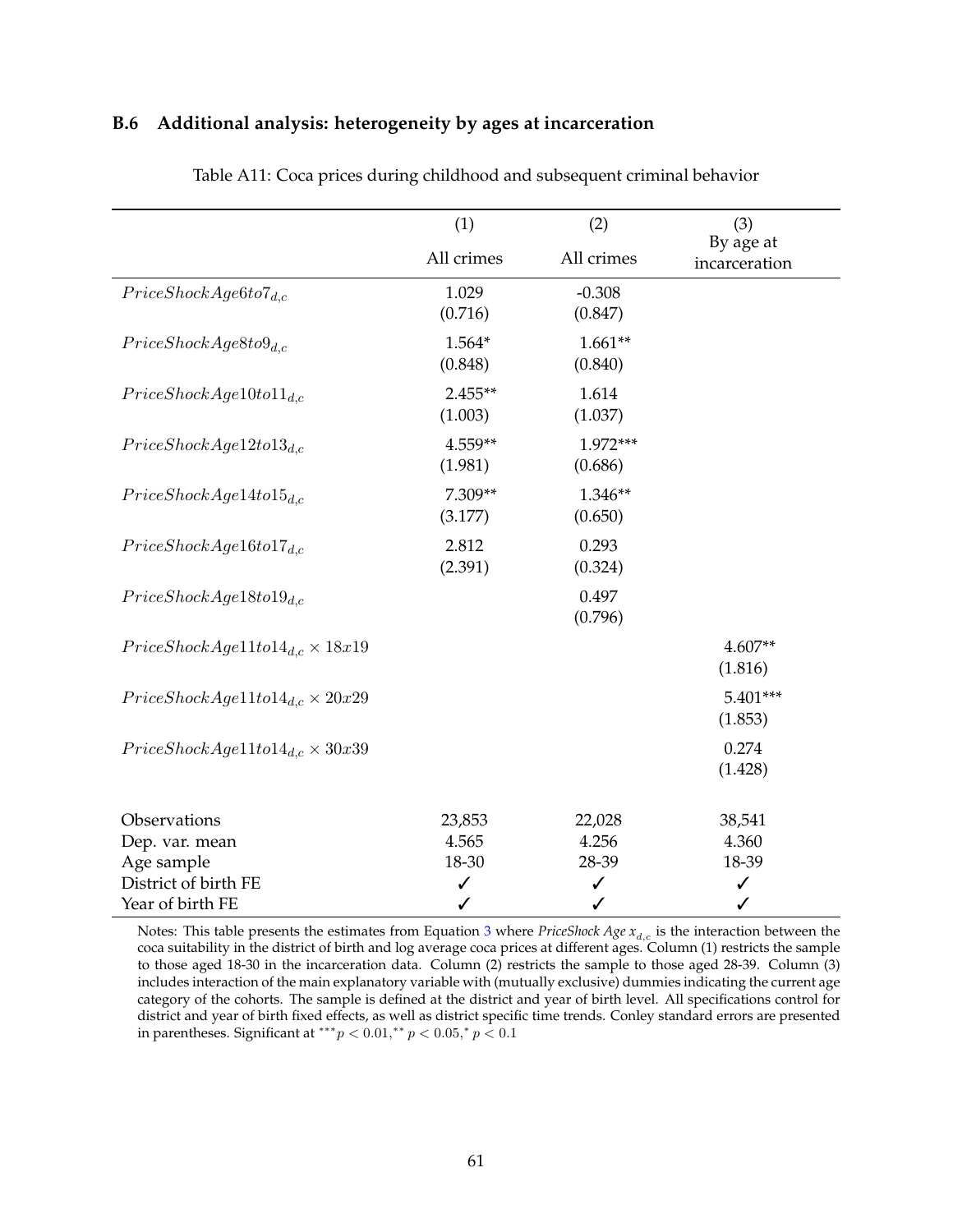### **B.6 Additional analysis: heterogeneity by ages at incarceration**

|                                                        | (1)                  | (2)                  | (3)                                   |
|--------------------------------------------------------|----------------------|----------------------|---------------------------------------|
|                                                        | All crimes           | All crimes           | By age at<br>incarceration            |
| $Price ShockAge6 to 7_{d,c}$                           | 1.029<br>(0.716)     | $-0.308$<br>(0.847)  |                                       |
| $Price ShockAge8 to 9_{d.c}$                           | 1.564*<br>(0.848)    | $1.661**$<br>(0.840) |                                       |
| $Price ShockAge10 to 11_{d.c}$                         | $2.455**$<br>(1.003) | 1.614<br>(1.037)     |                                       |
| Price ShockAge12 to 13 <sub>d.c</sub>                  | 4.559**<br>(1.981)   | 1.972***<br>(0.686)  |                                       |
| $Price ShockAge14 to 15_{d.c}$                         | 7.309**<br>(3.177)   | 1.346**<br>(0.650)   |                                       |
| $Price ShockAge16 to 17_{d.c}$                         | 2.812<br>(2.391)     | 0.293<br>(0.324)     |                                       |
| $Price ShockAge18 to 19_{d,c}$                         |                      | 0.497<br>(0.796)     |                                       |
| $Price ShockAge11 to 14_{d,c} \times 18x19$            |                      |                      | $4.607**$<br>(1.816)                  |
| $Price ShockAge11 to 14_{d,c} \times 20x29$            |                      |                      | $5.401***$<br>(1.853)                 |
| $Price ShockAge11 to 14_{d,c} \times 30x39$            |                      |                      | 0.274<br>(1.428)                      |
| Observations<br>Dep. var. mean                         | 23,853<br>4.565      | 22,028<br>4.256      | 38,541<br>4.360                       |
| Age sample<br>District of birth FE<br>Year of birth FE | 18-30<br>✓<br>✓      | 28-39<br>✓<br>✓      | 18-39<br>$\checkmark$<br>$\checkmark$ |

Table A11: Coca prices during childhood and subsequent criminal behavior

Notes: This table presents the estimates from Equation [3](#page--1-2) where *PriceShock Age*  $x_{d,c}$  is the interaction between the coca suitability in the district of birth and log average coca prices at different ages. Column (1) restricts the sample to those aged 18-30 in the incarceration data. Column (2) restricts the sample to those aged 28-39. Column (3) includes interaction of the main explanatory variable with (mutually exclusive) dummies indicating the current age category of the cohorts. The sample is defined at the district and year of birth level. All specifications control for district and year of birth fixed effects, as well as district specific time trends. Conley standard errors are presented in parentheses. Significant at \*\*\* $p < 0.01$ ,\*\*  $p < 0.05$ ,\*  $p < 0.1$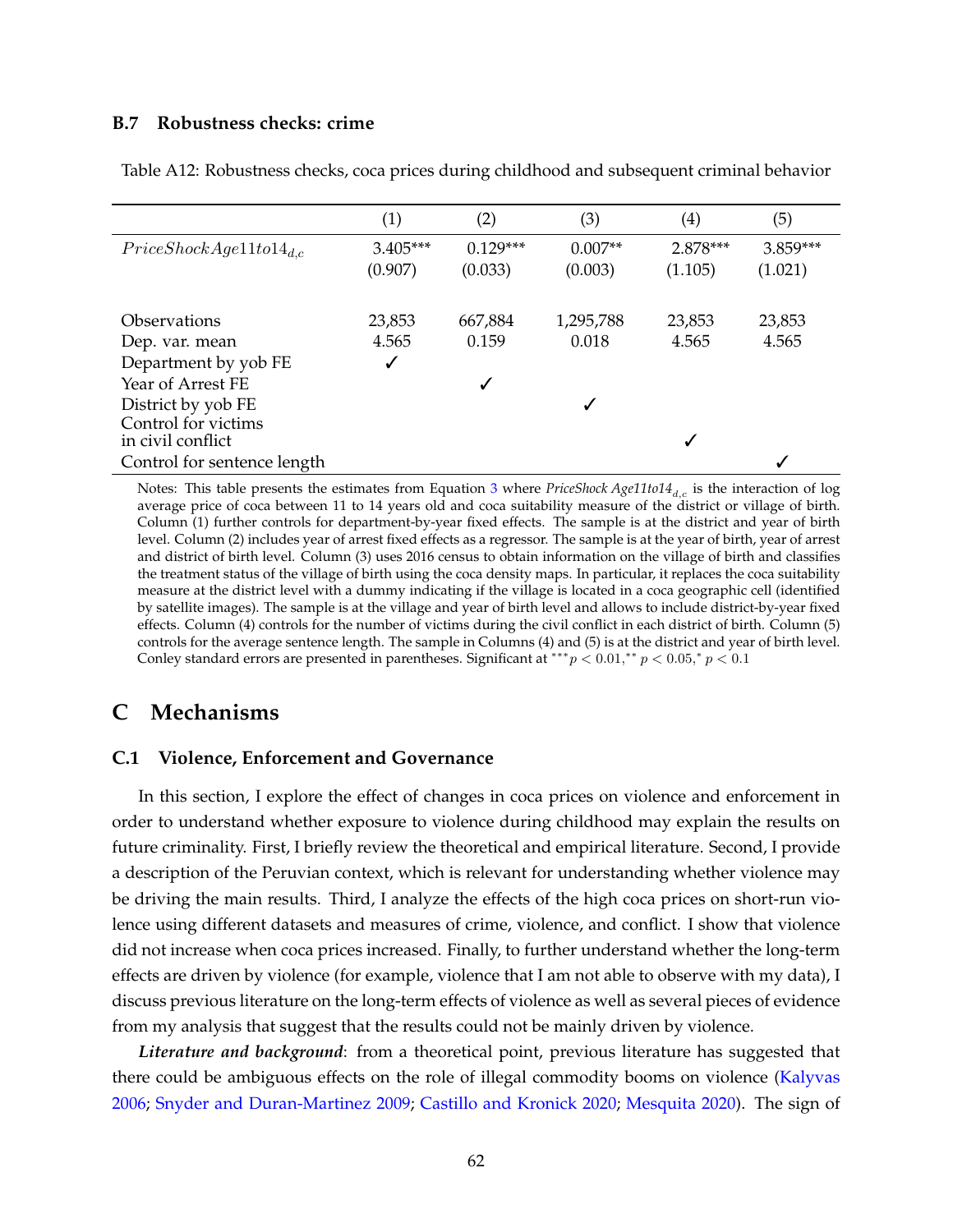### **B.7 Robustness checks: crime**

|                                          | (1)                   | (2)                   | (3)                  | $\left( 4\right)$   | (5)                 |
|------------------------------------------|-----------------------|-----------------------|----------------------|---------------------|---------------------|
| $Price ShockAge11 to 14_{d.c.}$          | $3.405***$<br>(0.907) | $0.129***$<br>(0.033) | $0.007**$<br>(0.003) | 2.878***<br>(1.105) | 3.859***<br>(1.021) |
|                                          |                       |                       |                      |                     |                     |
| Observations                             | 23,853                | 667,884               | 1,295,788            | 23,853              | 23,853              |
| Dep. var. mean                           | 4.565                 | 0.159                 | 0.018                | 4.565               | 4.565               |
| Department by yob FE                     | ✓                     |                       |                      |                     |                     |
| Year of Arrest FE                        |                       | ✓                     |                      |                     |                     |
| District by yob FE                       |                       |                       | √                    |                     |                     |
| Control for victims<br>in civil conflict |                       |                       |                      |                     |                     |
| Control for sentence length              |                       |                       |                      |                     |                     |

Table A12: Robustness checks, coca prices during childhood and subsequent criminal behavior

Notes: This table presents the estimates from Equation [3](#page--1-2) where *PriceShock Age11to14<sub>d,c</sub>* is the interaction of log average price of coca between 11 to 14 years old and coca suitability measure of the district or village of birth. Column (1) further controls for department-by-year fixed effects. The sample is at the district and year of birth level. Column (2) includes year of arrest fixed effects as a regressor. The sample is at the year of birth, year of arrest and district of birth level. Column (3) uses 2016 census to obtain information on the village of birth and classifies the treatment status of the village of birth using the coca density maps. In particular, it replaces the coca suitability measure at the district level with a dummy indicating if the village is located in a coca geographic cell (identified by satellite images). The sample is at the village and year of birth level and allows to include district-by-year fixed effects. Column (4) controls for the number of victims during the civil conflict in each district of birth. Column (5) controls for the average sentence length. The sample in Columns (4) and (5) is at the district and year of birth level. Conley standard errors are presented in parentheses. Significant at \*\*\*  $p < 0.01$ ,\*\*  $p < 0.05$ ,\*  $p < 0.1$ 

## **C Mechanisms**

#### **C.1 Violence, Enforcement and Governance**

In this section, I explore the effect of changes in coca prices on violence and enforcement in order to understand whether exposure to violence during childhood may explain the results on future criminality. First, I briefly review the theoretical and empirical literature. Second, I provide a description of the Peruvian context, which is relevant for understanding whether violence may be driving the main results. Third, I analyze the effects of the high coca prices on short-run violence using different datasets and measures of crime, violence, and conflict. I show that violence did not increase when coca prices increased. Finally, to further understand whether the long-term effects are driven by violence (for example, violence that I am not able to observe with my data), I discuss previous literature on the long-term effects of violence as well as several pieces of evidence from my analysis that suggest that the results could not be mainly driven by violence.

*Literature and background*: from a theoretical point, previous literature has suggested that there could be ambiguous effects on the role of illegal commodity booms on violence [\(Kalyvas](#page--1-3) [2006;](#page--1-3) [Snyder and Duran-Martinez](#page--1-4) [2009;](#page--1-4) [Castillo and Kronick](#page--1-4) [2020;](#page--1-4) [Mesquita](#page--1-5) [2020\)](#page--1-5). The sign of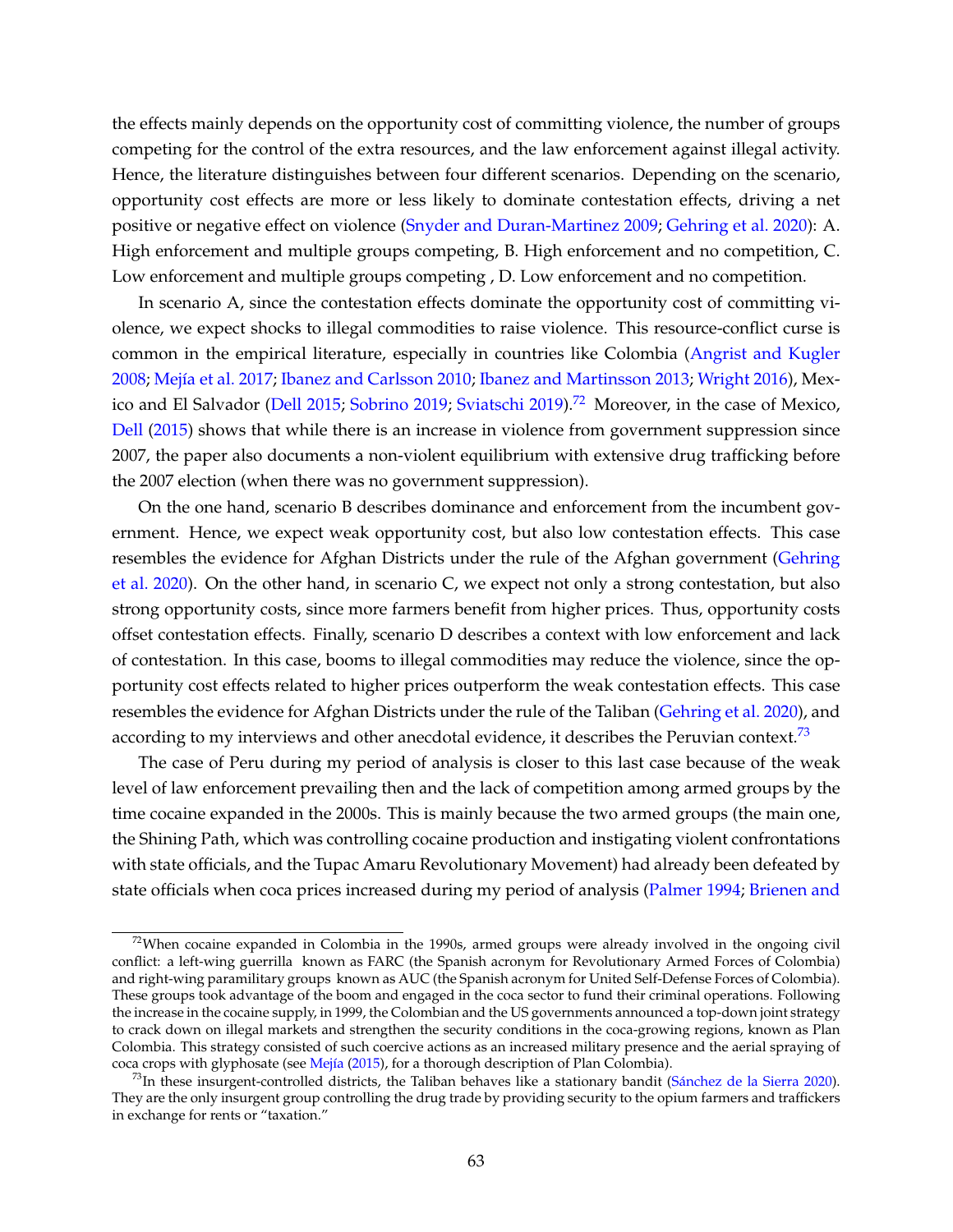the effects mainly depends on the opportunity cost of committing violence, the number of groups competing for the control of the extra resources, and the law enforcement against illegal activity. Hence, the literature distinguishes between four different scenarios. Depending on the scenario, opportunity cost effects are more or less likely to dominate contestation effects, driving a net positive or negative effect on violence [\(Snyder and Duran-Martinez](#page--1-4) [2009;](#page--1-4) [Gehring et al.](#page--1-6) [2020\)](#page--1-6): A. High enforcement and multiple groups competing, B. High enforcement and no competition, C. Low enforcement and multiple groups competing , D. Low enforcement and no competition.

In scenario A, since the contestation effects dominate the opportunity cost of committing violence, we expect shocks to illegal commodities to raise violence. This resource-conflict curse is common in the empirical literature, especially in countries like Colombia [\(Angrist and Kugler](#page--1-7) [2008;](#page--1-7) Mejía et al. [2017;](#page--1-8) [Ibanez and Carlsson](#page--1-9) [2010;](#page--1-9) [Ibanez and Martinsson](#page--1-10) [2013;](#page--1-10) [Wright](#page--1-11) [2016\)](#page--1-11), Mex-ico and El Salvador [\(Dell](#page--1-12) [2015;](#page--1-12) [Sobrino](#page--1-13) [2019;](#page--1-13) [Sviatschi](#page--1-14) [2019\)](#page--1-14).<sup>[72](#page-12-0)</sup> Moreover, in the case of Mexico, [Dell](#page--1-12) [\(2015\)](#page--1-12) shows that while there is an increase in violence from government suppression since 2007, the paper also documents a non-violent equilibrium with extensive drug trafficking before the 2007 election (when there was no government suppression).

On the one hand, scenario B describes dominance and enforcement from the incumbent government. Hence, we expect weak opportunity cost, but also low contestation effects. This case resembles the evidence for Afghan Districts under the rule of the Afghan government [\(Gehring](#page--1-6) [et al.](#page--1-6) [2020\)](#page--1-6). On the other hand, in scenario C, we expect not only a strong contestation, but also strong opportunity costs, since more farmers benefit from higher prices. Thus, opportunity costs offset contestation effects. Finally, scenario D describes a context with low enforcement and lack of contestation. In this case, booms to illegal commodities may reduce the violence, since the opportunity cost effects related to higher prices outperform the weak contestation effects. This case resembles the evidence for Afghan Districts under the rule of the Taliban [\(Gehring et al.](#page--1-6) [2020\)](#page--1-6), and according to my interviews and other anecdotal evidence, it describes the Peruvian context.<sup>[73](#page-12-1)</sup>

The case of Peru during my period of analysis is closer to this last case because of the weak level of law enforcement prevailing then and the lack of competition among armed groups by the time cocaine expanded in the 2000s. This is mainly because the two armed groups (the main one, the Shining Path, which was controlling cocaine production and instigating violent confrontations with state officials, and the Tupac Amaru Revolutionary Movement) had already been defeated by state officials when coca prices increased during my period of analysis [\(Palmer](#page--1-15) [1994;](#page--1-15) [Brienen and](#page--1-16)

<span id="page-12-0"></span> $72$ [When cocaine expanded in Colombia in the 1990s, armed groups were already involved in the ongoing civil](#page--1-16) [conflict: a left-wing guerrilla known as FARC \(the Spanish acronym for Revolutionary Armed Forces of Colombia\)](#page--1-16) [and right-wing paramilitary groups known as AUC \(the Spanish acronym for United Self-Defense Forces of Colombia\).](#page--1-16) [These groups took advantage of the boom and engaged in the coca sector to fund their criminal operations. Following](#page--1-16) [the increase in the cocaine supply, in 1999, the Colombian and the US governments announced a top-down joint strategy](#page--1-16) [to crack down on illegal markets and strengthen the security conditions in the coca-growing regions, known as Plan](#page--1-16) [Colombia. This strategy consisted of such coercive actions as an increased military presence and the aerial spraying of](#page--1-16) coca crops with glyphosate (see Mejía [\(2015\), for a thorough description of Plan Colombia\).](#page--1-16)

<span id="page-12-1"></span> $^{73}$ In these insurgent-controlled districts, the Taliban behaves like a stationary bandit (Sánchez de la Sierra [2020\)](#page--1-18). [They are the only insurgent group controlling the drug trade by providing security to the opium farmers and traffickers](#page--1-16) [in exchange for rents or "taxation."](#page--1-16)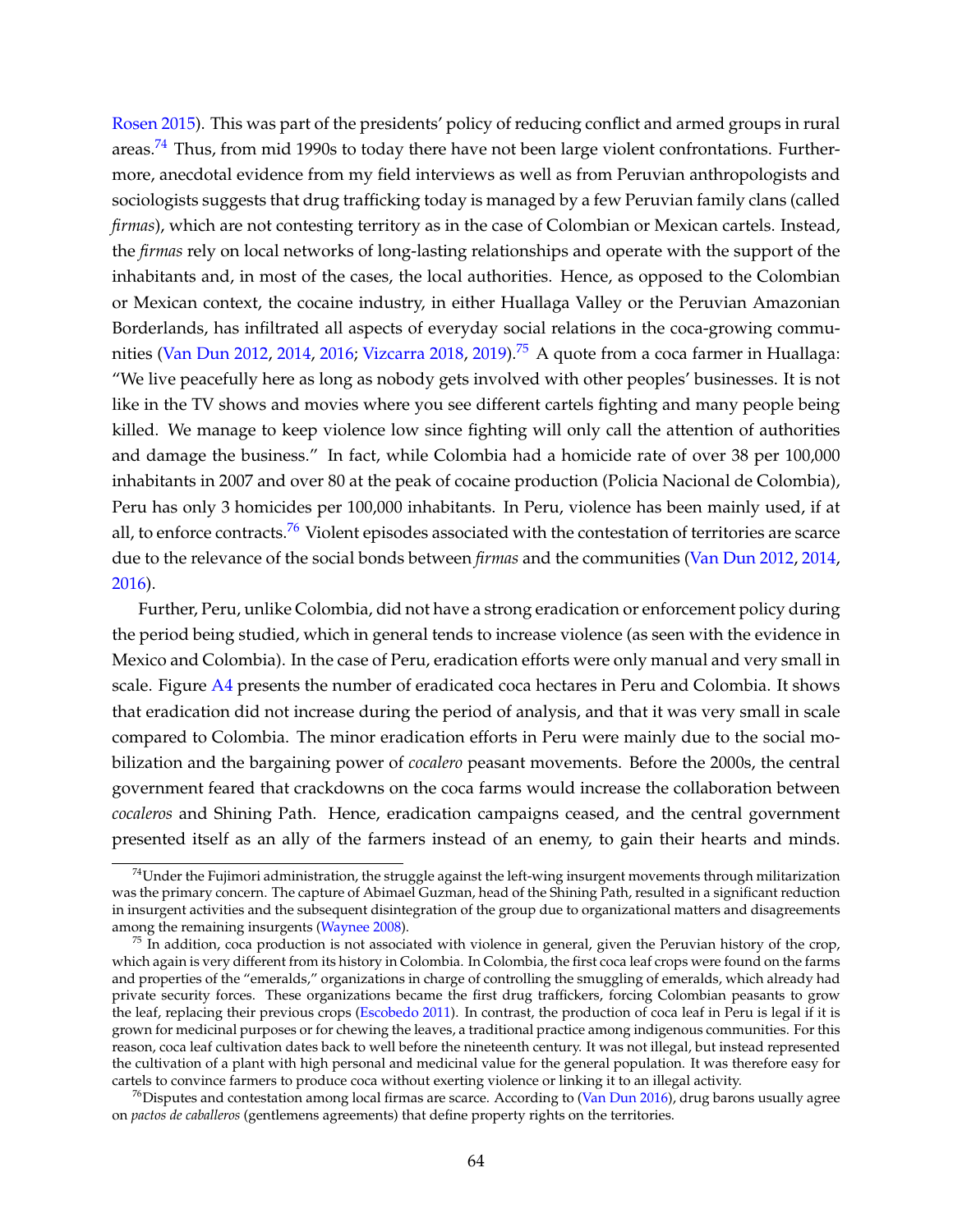[Rosen](#page--1-16) [2015\)](#page--1-16). This was part of the presidents' policy of reducing conflict and armed groups in rural areas.<sup>[74](#page-13-0)</sup> Thus, from mid 1990s to today there have not been large violent confrontations. Furthermore, anecdotal evidence from my field interviews as well as from Peruvian anthropologists and sociologists suggests that drug trafficking today is managed by a few Peruvian family clans (called *firmas*), which are not contesting territory as in the case of Colombian or Mexican cartels. Instead, the *firmas* rely on local networks of long-lasting relationships and operate with the support of the inhabitants and, in most of the cases, the local authorities. Hence, as opposed to the Colombian or Mexican context, the cocaine industry, in either Huallaga Valley or the Peruvian Amazonian Borderlands, has infiltrated all aspects of everyday social relations in the coca-growing commu-nities [\(Van Dun](#page--1-19) [2012,](#page--1-19) [2014,](#page--1-20) [2016;](#page--1-21) [Vizcarra](#page--1-22) [2018,](#page--1-22) [2019\)](#page--1-23).<sup>[75](#page-13-1)</sup> A quote from a coca farmer in Huallaga: "We live peacefully here as long as nobody gets involved with other peoples' businesses. It is not like in the TV shows and movies where you see different cartels fighting and many people being killed. We manage to keep violence low since fighting will only call the attention of authorities and damage the business." In fact, while Colombia had a homicide rate of over 38 per 100,000 inhabitants in 2007 and over 80 at the peak of cocaine production (Policia Nacional de Colombia), Peru has only 3 homicides per 100,000 inhabitants. In Peru, violence has been mainly used, if at all, to enforce contracts.<sup>[76](#page-13-2)</sup> Violent episodes associated with the contestation of territories are scarce due to the relevance of the social bonds between *firmas* and the communities [\(Van Dun](#page--1-19) [2012,](#page--1-19) [2014,](#page--1-20) [2016\)](#page--1-21).

Further, Peru, unlike Colombia, did not have a strong eradication or enforcement policy during the period being studied, which in general tends to increase violence (as seen with the evidence in Mexico and Colombia). In the case of Peru, eradication efforts were only manual and very small in scale. Figure [A4](#page-4-0) presents the number of eradicated coca hectares in Peru and Colombia. It shows that eradication did not increase during the period of analysis, and that it was very small in scale compared to Colombia. The minor eradication efforts in Peru were mainly due to the social mobilization and the bargaining power of *cocalero* peasant movements. Before the 2000s, the central government feared that crackdowns on the coca farms would increase the collaboration between *cocaleros* and Shining Path. Hence, eradication campaigns ceased, and the central government presented itself as an ally of the farmers instead of an enemy, to gain their hearts and minds.

<span id="page-13-0"></span> $74$ Under the Fujimori administration, the struggle against the left-wing insurgent movements through militarization was the primary concern. The capture of Abimael Guzman, head of the Shining Path, resulted in a significant reduction in insurgent activities and the subsequent disintegration of the group due to organizational matters and disagreements among the remaining insurgents [\(Waynee](#page--1-24) [2008\)](#page--1-24).

<span id="page-13-1"></span> $75$  In addition, coca production is not associated with violence in general, given the Peruvian history of the crop, which again is very different from its history in Colombia. In Colombia, the first coca leaf crops were found on the farms and properties of the "emeralds," organizations in charge of controlling the smuggling of emeralds, which already had private security forces. These organizations became the first drug traffickers, forcing Colombian peasants to grow the leaf, replacing their previous crops [\(Escobedo](#page--1-25) [2011\)](#page--1-25). In contrast, the production of coca leaf in Peru is legal if it is grown for medicinal purposes or for chewing the leaves, a traditional practice among indigenous communities. For this reason, coca leaf cultivation dates back to well before the nineteenth century. It was not illegal, but instead represented the cultivation of a plant with high personal and medicinal value for the general population. It was therefore easy for cartels to convince farmers to produce coca without exerting violence or linking it to an illegal activity.

<span id="page-13-2"></span> $^{76}$ Disputes and contestation among local firmas are scarce. According to [\(Van Dun](#page--1-21) [2016\)](#page--1-21), drug barons usually agree on *pactos de caballeros* (gentlemens agreements) that define property rights on the territories.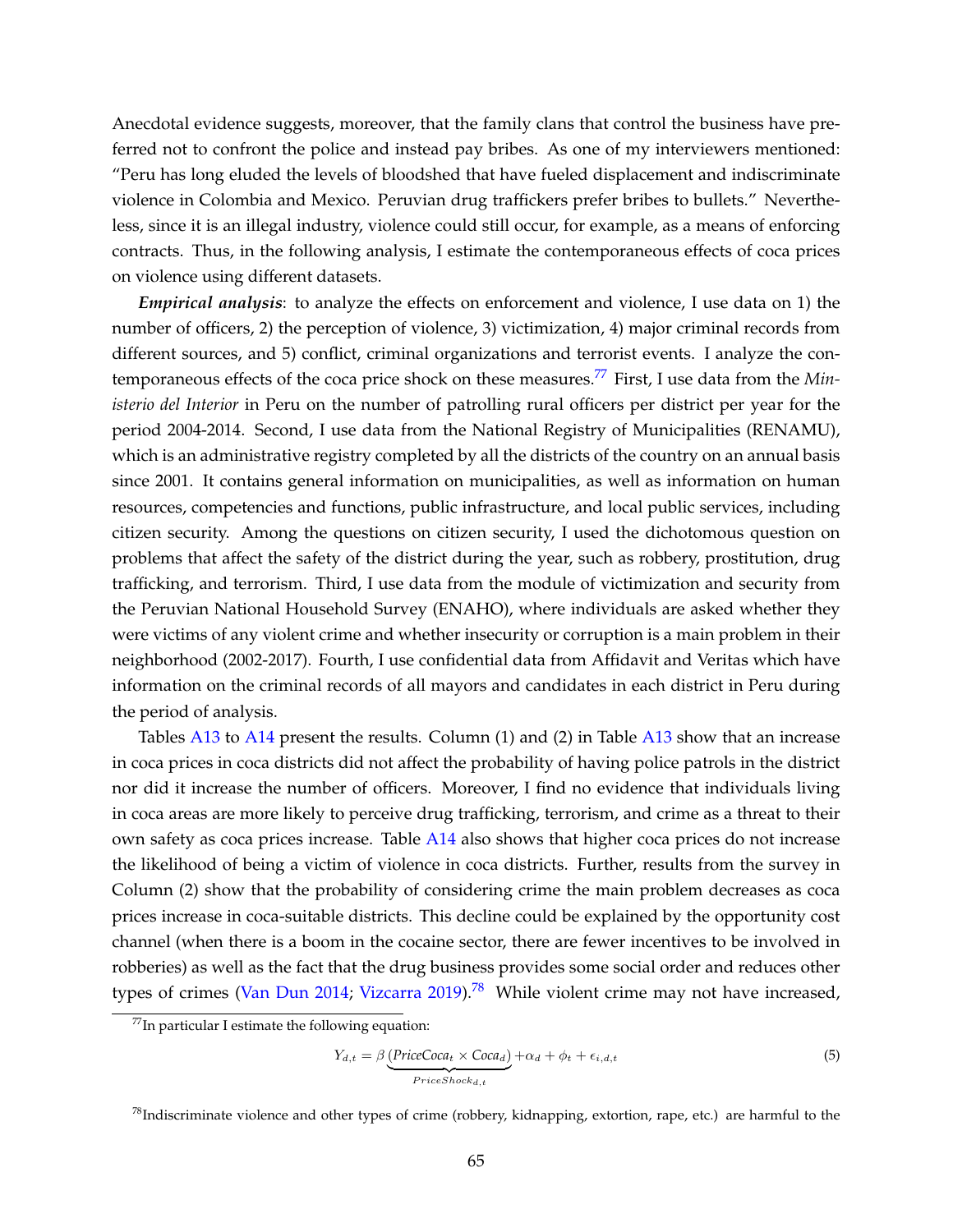Anecdotal evidence suggests, moreover, that the family clans that control the business have preferred not to confront the police and instead pay bribes. As one of my interviewers mentioned: "Peru has long eluded the levels of bloodshed that have fueled displacement and indiscriminate violence in Colombia and Mexico. Peruvian drug traffickers prefer bribes to bullets." Nevertheless, since it is an illegal industry, violence could still occur, for example, as a means of enforcing contracts. Thus, in the following analysis, I estimate the contemporaneous effects of coca prices on violence using different datasets.

*Empirical analysis*: to analyze the effects on enforcement and violence, I use data on 1) the number of officers, 2) the perception of violence, 3) victimization, 4) major criminal records from different sources, and 5) conflict, criminal organizations and terrorist events. I analyze the contemporaneous effects of the coca price shock on these measures.[77](#page-14-0) First, I use data from the *Ministerio del Interior* in Peru on the number of patrolling rural officers per district per year for the period 2004-2014. Second, I use data from the National Registry of Municipalities (RENAMU), which is an administrative registry completed by all the districts of the country on an annual basis since 2001. It contains general information on municipalities, as well as information on human resources, competencies and functions, public infrastructure, and local public services, including citizen security. Among the questions on citizen security, I used the dichotomous question on problems that affect the safety of the district during the year, such as robbery, prostitution, drug trafficking, and terrorism. Third, I use data from the module of victimization and security from the Peruvian National Household Survey (ENAHO), where individuals are asked whether they were victims of any violent crime and whether insecurity or corruption is a main problem in their neighborhood (2002-2017). Fourth, I use confidential data from Affidavit and Veritas which have information on the criminal records of all mayors and candidates in each district in Peru during the period of analysis.

Tables [A13](#page-16-0) to [A14](#page-16-1) present the results. Column (1) and (2) in Table [A13](#page-16-0) show that an increase in coca prices in coca districts did not affect the probability of having police patrols in the district nor did it increase the number of officers. Moreover, I find no evidence that individuals living in coca areas are more likely to perceive drug trafficking, terrorism, and crime as a threat to their own safety as coca prices increase. Table [A14](#page-16-1) also shows that higher coca prices do not increase the likelihood of being a victim of violence in coca districts. Further, results from the survey in Column (2) show that the probability of considering crime the main problem decreases as coca prices increase in coca-suitable districts. This decline could be explained by the opportunity cost channel (when there is a boom in the cocaine sector, there are fewer incentives to be involved in robberies) as well as the fact that the drug business provides some social order and reduces other types of crimes [\(Van Dun](#page--1-20) [2014;](#page--1-20) [Vizcarra](#page--1-23) [2019\)](#page--1-23).<sup>[78](#page-14-1)</sup> While violent crime may not have increased,

<span id="page-14-2"></span>
$$
Y_{d,t} = \beta \underbrace{(PriceCoca_t \times Coca_d)}_{PriceShock_{d,t}} + \alpha_d + \phi_t + \epsilon_{i,d,t}
$$
\n(5)

<span id="page-14-0"></span> $^{77}$ In particular I estimate the following equation:

<span id="page-14-1"></span> $78$ Indiscriminate violence and other types of crime (robbery, kidnapping, extortion, rape, etc.) are harmful to the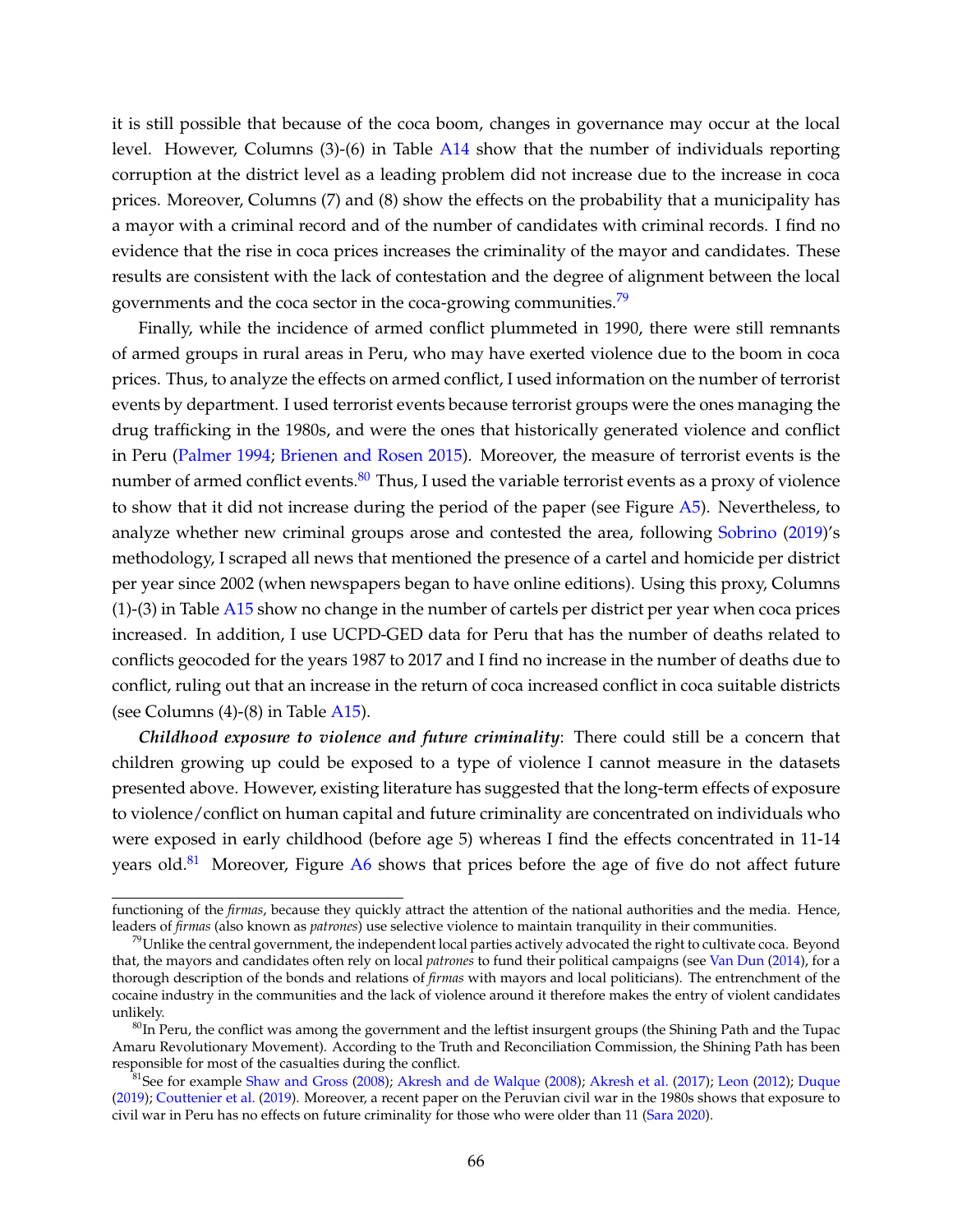it is still possible that because of the coca boom, changes in governance may occur at the local level. However, Columns (3)-(6) in Table [A14](#page-16-1) show that the number of individuals reporting corruption at the district level as a leading problem did not increase due to the increase in coca prices. Moreover, Columns (7) and (8) show the effects on the probability that a municipality has a mayor with a criminal record and of the number of candidates with criminal records. I find no evidence that the rise in coca prices increases the criminality of the mayor and candidates. These results are consistent with the lack of contestation and the degree of alignment between the local governments and the coca sector in the coca-growing communities.<sup>[79](#page-15-0)</sup>

Finally, while the incidence of armed conflict plummeted in 1990, there were still remnants of armed groups in rural areas in Peru, who may have exerted violence due to the boom in coca prices. Thus, to analyze the effects on armed conflict, I used information on the number of terrorist events by department. I used terrorist events because terrorist groups were the ones managing the drug trafficking in the 1980s, and were the ones that historically generated violence and conflict in Peru [\(Palmer](#page--1-15) [1994;](#page--1-15) [Brienen and Rosen](#page--1-16) [2015\)](#page--1-16). Moreover, the measure of terrorist events is the number of armed conflict events. $80$  Thus, I used the variable terrorist events as a proxy of violence to show that it did not increase during the period of the paper (see Figure [A5\)](#page-17-0). Nevertheless, to analyze whether new criminal groups arose and contested the area, following [Sobrino](#page--1-13) [\(2019\)](#page--1-13)'s methodology, I scraped all news that mentioned the presence of a cartel and homicide per district per year since 2002 (when newspapers began to have online editions). Using this proxy, Columns (1)-(3) in Table [A15](#page-17-1) show no change in the number of cartels per district per year when coca prices increased. In addition, I use UCPD-GED data for Peru that has the number of deaths related to conflicts geocoded for the years 1987 to 2017 and I find no increase in the number of deaths due to conflict, ruling out that an increase in the return of coca increased conflict in coca suitable districts (see Columns (4)-(8) in Table [A15\)](#page-17-1).

*Childhood exposure to violence and future criminality*: There could still be a concern that children growing up could be exposed to a type of violence I cannot measure in the datasets presented above. However, existing literature has suggested that the long-term effects of exposure to violence/conflict on human capital and future criminality are concentrated on individuals who were exposed in early childhood (before age 5) whereas I find the effects concentrated in 11-14 years old. $81$  Moreover, Figure [A6](#page-18-0) shows that prices before the age of five do not affect future

functioning of the *firmas*, because they quickly attract the attention of the national authorities and the media. Hence, leaders of *firmas* (also known as *patrones*) use selective violence to maintain tranquility in their communities.

<span id="page-15-0"></span> $79$ Unlike the central government, the independent local parties actively advocated the right to cultivate coca. Beyond that, the mayors and candidates often rely on local *patrones* to fund their political campaigns (see [Van Dun](#page--1-20) [\(2014\)](#page--1-20), for a thorough description of the bonds and relations of *firmas* with mayors and local politicians). The entrenchment of the cocaine industry in the communities and the lack of violence around it therefore makes the entry of violent candidates unlikely.

<span id="page-15-1"></span> $80$ In Peru, the conflict was among the government and the leftist insurgent groups (the Shining Path and the Tupac Amaru Revolutionary Movement). According to the Truth and Reconciliation Commission, the Shining Path has been responsible for most of the casualties during the conflict.

<span id="page-15-2"></span><sup>&</sup>lt;sup>81</sup>See for example [Shaw and Gross](#page--1-26) [\(2008\)](#page--1-27); [Akresh and de Walque](#page--1-27) (2008); [Akresh et al.](#page--1-28) [\(2017\)](#page--1-28); [Leon](#page--1-29) [\(2012\)](#page--1-29); [Duque](#page--1-30) [\(2019\)](#page--1-30); [Couttenier et al.](#page--1-31) [\(2019\)](#page--1-31). Moreover, a recent paper on the Peruvian civil war in the 1980s shows that exposure to civil war in Peru has no effects on future criminality for those who were older than 11 [\(Sara](#page--1-32) [2020\)](#page--1-32).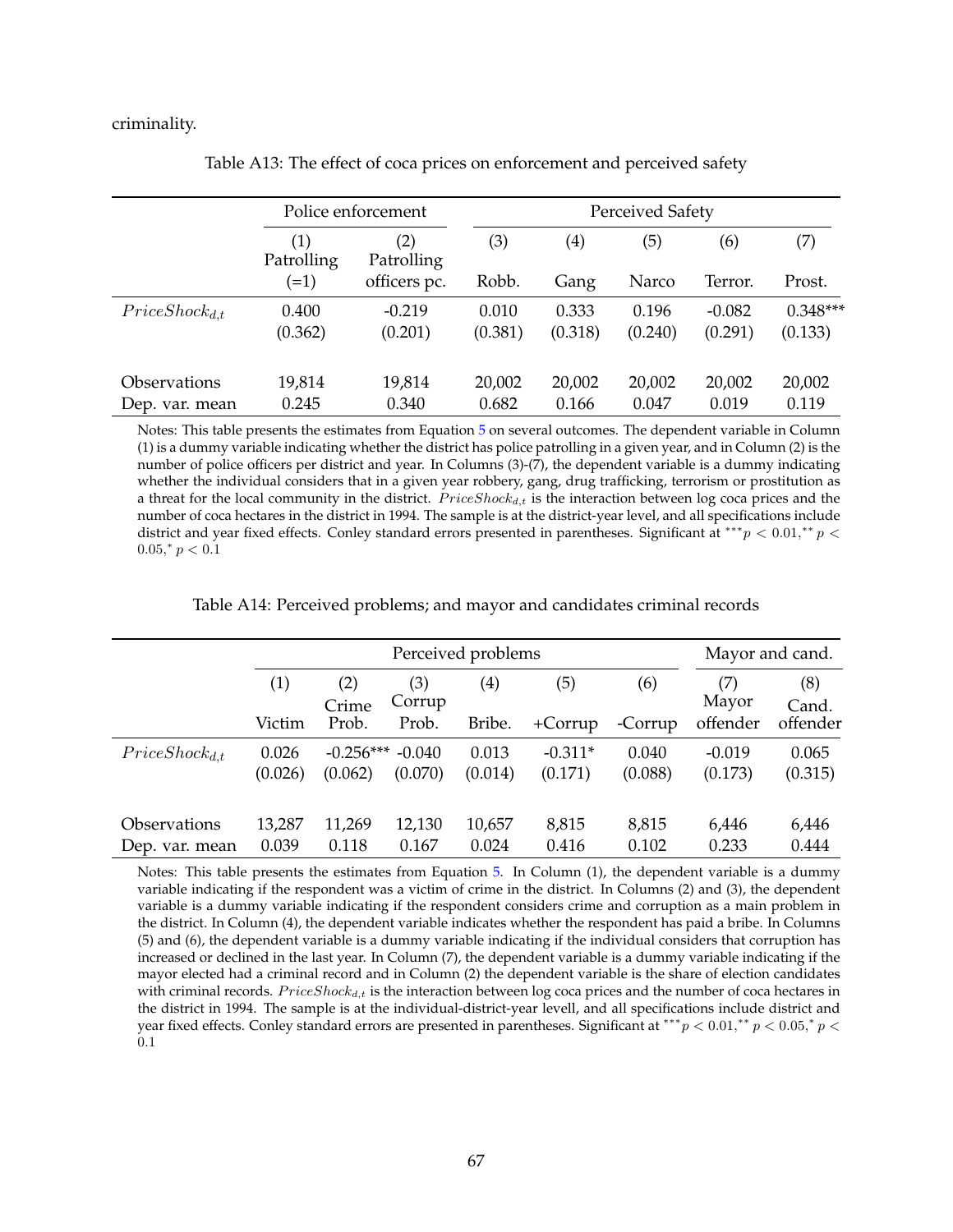criminality.

<span id="page-16-0"></span>

|                            | Police enforcement              |                                 |         | <b>Perceived Safety</b> |         |          |            |
|----------------------------|---------------------------------|---------------------------------|---------|-------------------------|---------|----------|------------|
|                            | $\left( 1\right)$<br>Patrolling | $\left( 2\right)$<br>Patrolling | (3)     | $\left( 4\right)$       | (5)     | (6)      | (7)        |
|                            | $(=1)$                          | officers pc.                    | Robb.   | Gang                    | Narco   | Terror.  | Prost.     |
| $Price Shock_{d,t}$        | 0.400                           | $-0.219$                        | 0.010   | 0.333                   | 0.196   | $-0.082$ | $0.348***$ |
|                            | (0.362)                         | (0.201)                         | (0.381) | (0.318)                 | (0.240) | (0.291)  | (0.133)    |
| <i><b>Observations</b></i> | 19,814                          | 19,814                          | 20,002  | 20,002                  | 20,002  | 20,002   | 20,002     |
| Dep. var. mean             | 0.245                           | 0.340                           | 0.682   | 0.166                   | 0.047   | 0.019    | 0.119      |

Table A13: The effect of coca prices on enforcement and perceived safety

Notes: This table presents the estimates from Equation [5](#page-14-2) on several outcomes. The dependent variable in Column (1) is a dummy variable indicating whether the district has police patrolling in a given year, and in Column (2) is the number of police officers per district and year. In Columns (3)-(7), the dependent variable is a dummy indicating whether the individual considers that in a given year robbery, gang, drug trafficking, terrorism or prostitution as a threat for the local community in the district.  $Price Shock_{d,t}$  is the interaction between log coca prices and the number of coca hectares in the district in 1994. The sample is at the district-year level, and all specifications include district and year fixed effects. Conley standard errors presented in parentheses. Significant at \*\*\* $p < 0.01$ ,\*\* $p <$  $0.05$ ,\*  $p < 0.1$ 

Table A14: Perceived problems; and mayor and candidates criminal records

<span id="page-16-1"></span>

|                     | Perceived problems |              |               |                   |           | Mayor and cand. |              |              |
|---------------------|--------------------|--------------|---------------|-------------------|-----------|-----------------|--------------|--------------|
|                     | (1)                | (2)<br>Crime | (3)<br>Corrup | $\left( 4\right)$ | (5)       | (6)             | (7)<br>Mayor | (8)<br>Cand. |
|                     | Victim             | Prob.        | Prob.         | Bribe.            | $+Corrup$ | -Corrup         | offender     | offender     |
| $Price Shock_{d,t}$ | 0.026              | $-0.256***$  | $-0.040$      | 0.013             | $-0.311*$ | 0.040           | $-0.019$     | 0.065        |
|                     | (0.026)            | (0.062)      | (0.070)       | (0.014)           | (0.171)   | (0.088)         | (0.173)      | (0.315)      |
| Observations        | 13,287             | 11,269       | 12,130        | 10,657            | 8,815     | 8,815           | 6,446        | 6,446        |
| Dep. var. mean      | 0.039              | 0.118        | 0.167         | 0.024             | 0.416     | 0.102           | 0.233        | 0.444        |

Notes: This table presents the estimates from Equation [5.](#page-14-2) In Column (1), the dependent variable is a dummy variable indicating if the respondent was a victim of crime in the district. In Columns (2) and (3), the dependent variable is a dummy variable indicating if the respondent considers crime and corruption as a main problem in the district. In Column (4), the dependent variable indicates whether the respondent has paid a bribe. In Columns (5) and (6), the dependent variable is a dummy variable indicating if the individual considers that corruption has increased or declined in the last year. In Column (7), the dependent variable is a dummy variable indicating if the mayor elected had a criminal record and in Column (2) the dependent variable is the share of election candidates with criminal records.  $Price Shock_{d,t}$  is the interaction between log coca prices and the number of coca hectares in the district in 1994. The sample is at the individual-district-year levell, and all specifications include district and year fixed effects. Conley standard errors are presented in parentheses. Significant at \*\*\*  $p < 0.01$ ,\*\*  $p < 0.05$ ,\*  $p <$ 0.1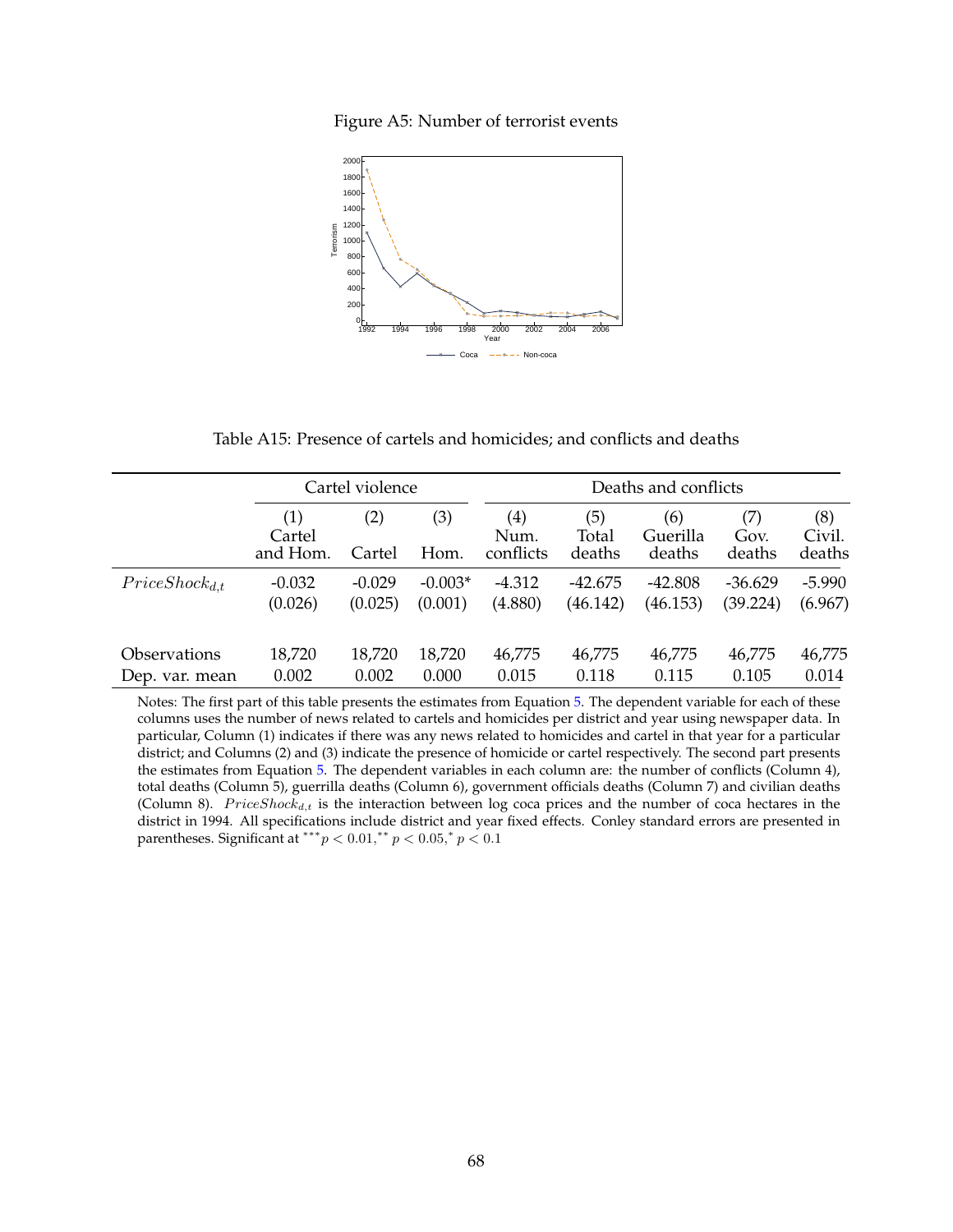Figure A5: Number of terrorist events

<span id="page-17-0"></span>

Table A15: Presence of cartels and homicides; and conflicts and deaths

<span id="page-17-1"></span>

|                            |                           | Cartel violence |             |                          | Deaths and conflicts   |                           |                       |                         |
|----------------------------|---------------------------|-----------------|-------------|--------------------------|------------------------|---------------------------|-----------------------|-------------------------|
|                            | (1)<br>Cartel<br>and Hom. | (2)<br>Cartel   | (3)<br>Hom. | (4)<br>Num.<br>conflicts | (5)<br>Total<br>deaths | (6)<br>Guerilla<br>deaths | (7)<br>Gov.<br>deaths | (8)<br>Civil.<br>deaths |
| $Price Shock_{d,t}$        | $-0.032$                  | $-0.029$        | $-0.003*$   | $-4.312$                 | $-42.675$              | $-42.808$                 | $-36.629$             | $-5.990$                |
|                            | (0.026)                   | (0.025)         | (0.001)     | (4.880)                  | (46.142)               | (46.153)                  | (39.224)              | (6.967)                 |
| <i><b>Observations</b></i> | 18,720                    | 18,720          | 18,720      | 46,775                   | 46,775                 | 46,775                    | 46,775                | 46,775                  |
| Dep. var. mean             | 0.002                     | 0.002           | 0.000       | 0.015                    | 0.118                  | 0.115                     | 0.105                 | 0.014                   |

Notes: The first part of this table presents the estimates from Equation [5.](#page-14-2) The dependent variable for each of these columns uses the number of news related to cartels and homicides per district and year using newspaper data. In particular, Column (1) indicates if there was any news related to homicides and cartel in that year for a particular district; and Columns (2) and (3) indicate the presence of homicide or cartel respectively. The second part presents the estimates from Equation [5.](#page-14-2) The dependent variables in each column are: the number of conflicts (Column 4), total deaths (Column 5), guerrilla deaths (Column 6), government officials deaths (Column 7) and civilian deaths (Column 8).  $Price Shock_{d,t}$  is the interaction between log coca prices and the number of coca hectares in the district in 1994. All specifications include district and year fixed effects. Conley standard errors are presented in parentheses. Significant at \*\*\*  $p < 0.01$ ,\*\*  $p < 0.05$ ,\*  $p < 0.1$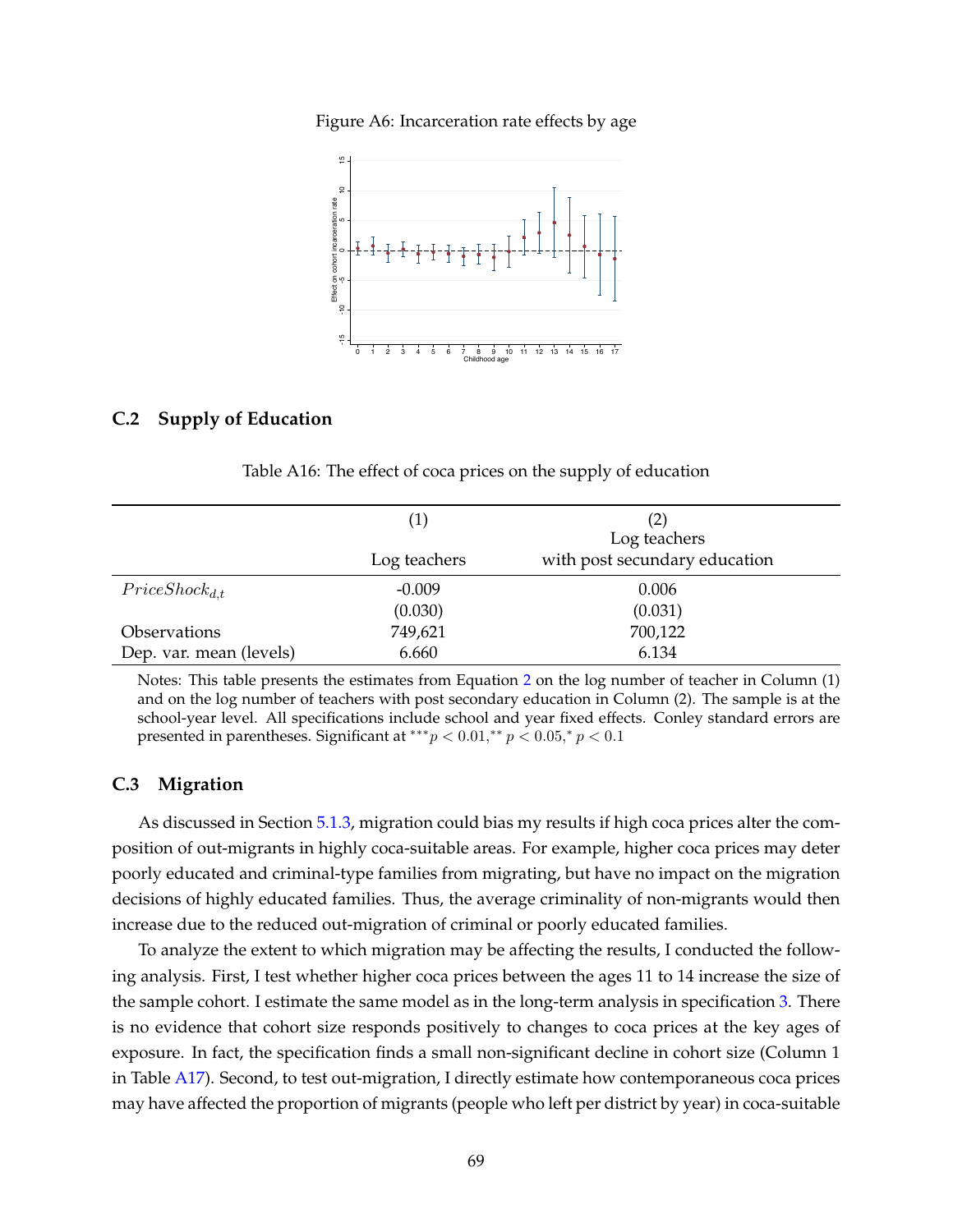Figure A6: Incarceration rate effects by age

<span id="page-18-0"></span>

### **C.2 Supply of Education**

Table A16: The effect of coca prices on the supply of education

|                         |              | (2)                           |
|-------------------------|--------------|-------------------------------|
|                         |              | Log teachers                  |
|                         | Log teachers | with post secundary education |
| $Price Shock_{d,t}$     | $-0.009$     | 0.006                         |
|                         | (0.030)      | (0.031)                       |
| Observations            | 749,621      | 700,122                       |
| Dep. var. mean (levels) | 6.660        | 6.134                         |

Notes: This table presents the estimates from Equation [2](#page--1-1) on the log number of teacher in Column (1) and on the log number of teachers with post secondary education in Column (2). The sample is at the school-year level. All specifications include school and year fixed effects. Conley standard errors are presented in parentheses. Significant at \*\*\*  $p < 0.01$ ,\*\*  $p < 0.05$ ,\*  $p < 0.1$ 

#### **C.3 Migration**

As discussed in Section [5.1.3,](#page--1-33) migration could bias my results if high coca prices alter the composition of out-migrants in highly coca-suitable areas. For example, higher coca prices may deter poorly educated and criminal-type families from migrating, but have no impact on the migration decisions of highly educated families. Thus, the average criminality of non-migrants would then increase due to the reduced out-migration of criminal or poorly educated families.

To analyze the extent to which migration may be affecting the results, I conducted the following analysis. First, I test whether higher coca prices between the ages 11 to 14 increase the size of the sample cohort. I estimate the same model as in the long-term analysis in specification [3.](#page--1-2) There is no evidence that cohort size responds positively to changes to coca prices at the key ages of exposure. In fact, the specification finds a small non-significant decline in cohort size (Column 1 in Table [A17\)](#page-20-0). Second, to test out-migration, I directly estimate how contemporaneous coca prices may have affected the proportion of migrants (people who left per district by year) in coca-suitable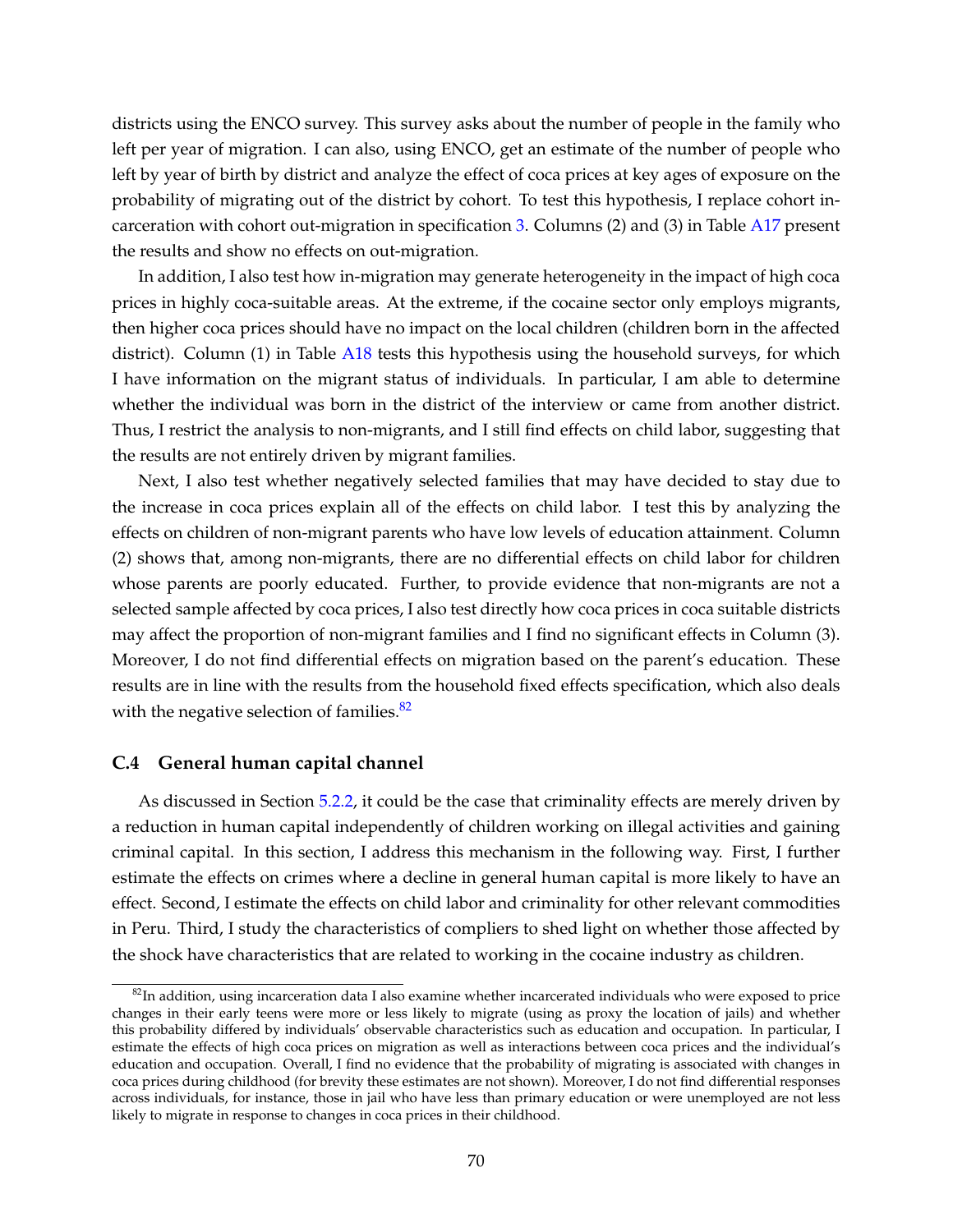districts using the ENCO survey. This survey asks about the number of people in the family who left per year of migration. I can also, using ENCO, get an estimate of the number of people who left by year of birth by district and analyze the effect of coca prices at key ages of exposure on the probability of migrating out of the district by cohort. To test this hypothesis, I replace cohort incarceration with cohort out-migration in specification [3.](#page--1-2) Columns (2) and (3) in Table [A17](#page-20-0) present the results and show no effects on out-migration.

In addition, I also test how in-migration may generate heterogeneity in the impact of high coca prices in highly coca-suitable areas. At the extreme, if the cocaine sector only employs migrants, then higher coca prices should have no impact on the local children (children born in the affected district). Column (1) in Table [A18](#page-20-1) tests this hypothesis using the household surveys, for which I have information on the migrant status of individuals. In particular, I am able to determine whether the individual was born in the district of the interview or came from another district. Thus, I restrict the analysis to non-migrants, and I still find effects on child labor, suggesting that the results are not entirely driven by migrant families.

Next, I also test whether negatively selected families that may have decided to stay due to the increase in coca prices explain all of the effects on child labor. I test this by analyzing the effects on children of non-migrant parents who have low levels of education attainment. Column (2) shows that, among non-migrants, there are no differential effects on child labor for children whose parents are poorly educated. Further, to provide evidence that non-migrants are not a selected sample affected by coca prices, I also test directly how coca prices in coca suitable districts may affect the proportion of non-migrant families and I find no significant effects in Column (3). Moreover, I do not find differential effects on migration based on the parent's education. These results are in line with the results from the household fixed effects specification, which also deals with the negative selection of families. $82$ 

#### **C.4 General human capital channel**

As discussed in Section [5.2.2,](#page--1-34) it could be the case that criminality effects are merely driven by a reduction in human capital independently of children working on illegal activities and gaining criminal capital. In this section, I address this mechanism in the following way. First, I further estimate the effects on crimes where a decline in general human capital is more likely to have an effect. Second, I estimate the effects on child labor and criminality for other relevant commodities in Peru. Third, I study the characteristics of compliers to shed light on whether those affected by the shock have characteristics that are related to working in the cocaine industry as children.

<span id="page-19-0"></span> $82$ In addition, using incarceration data I also examine whether incarcerated individuals who were exposed to price changes in their early teens were more or less likely to migrate (using as proxy the location of jails) and whether this probability differed by individuals' observable characteristics such as education and occupation. In particular, I estimate the effects of high coca prices on migration as well as interactions between coca prices and the individual's education and occupation. Overall, I find no evidence that the probability of migrating is associated with changes in coca prices during childhood (for brevity these estimates are not shown). Moreover, I do not find differential responses across individuals, for instance, those in jail who have less than primary education or were unemployed are not less likely to migrate in response to changes in coca prices in their childhood.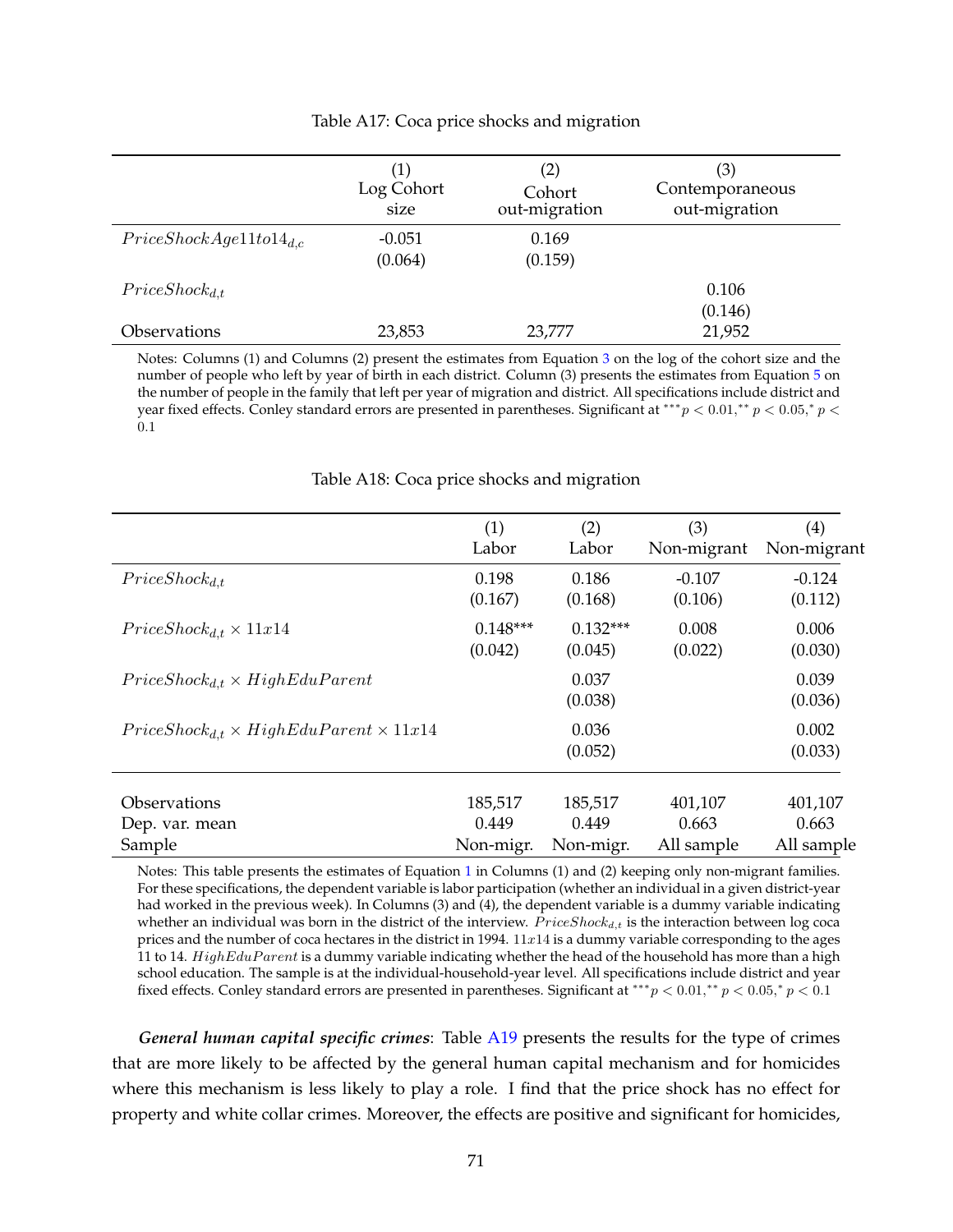<span id="page-20-0"></span>

|                                | $\left( 1\right)$<br>Log Cohort<br>size | (2)<br>Cohort<br>out-migration | (3)<br>Contemporaneous<br>out-migration |
|--------------------------------|-----------------------------------------|--------------------------------|-----------------------------------------|
| $Price ShockAge11 to 14_{d,c}$ | $-0.051$<br>(0.064)                     | 0.169<br>(0.159)               |                                         |
| $Price Shock_{d,t}$            |                                         |                                | 0.106<br>(0.146)                        |
| <i><b>Observations</b></i>     | 23,853                                  | 23,777                         | 21,952                                  |

#### Table A17: Coca price shocks and migration

Notes: Columns (1) and Columns (2) present the estimates from Equation [3](#page--1-2) on the log of the cohort size and the number of people who left by year of birth in each district. Column (3) presents the estimates from Equation [5](#page-14-2) on the number of people in the family that left per year of migration and district. All specifications include district and year fixed effects. Conley standard errors are presented in parentheses. Significant at \*\*\*  $p < 0.01$ ,\*\*  $p < 0.05$ ,\*  $p <$ 0.1

<span id="page-20-1"></span>

|                                                         | (1)        | (2)              | (3)         | (4)              |
|---------------------------------------------------------|------------|------------------|-------------|------------------|
|                                                         | Labor      | Labor            | Non-migrant | Non-migrant      |
| $Price Shock_{d,t}$                                     | 0.198      | 0.186            | $-0.107$    | $-0.124$         |
|                                                         | (0.167)    | (0.168)          | (0.106)     | (0.112)          |
| $Price Shock_{d,t} \times 11x14$                        | $0.148***$ | $0.132***$       | 0.008       | 0.006            |
|                                                         | (0.042)    | (0.045)          | (0.022)     | (0.030)          |
| $Price Shock_{d,t} \times HighE du Parent$              |            | 0.037<br>(0.038) |             | 0.039<br>(0.036) |
| $Price Shock_{d,t} \times HighE du Parent \times 11x14$ |            | 0.036<br>(0.052) |             | 0.002<br>(0.033) |
| <i><b>Observations</b></i>                              | 185,517    | 185,517          | 401,107     | 401,107          |
| Dep. var. mean                                          | 0.449      | 0.449            | 0.663       | 0.663            |
| Sample                                                  | Non-migr.  | Non-migr.        | All sample  | All sample       |

#### Table A18: Coca price shocks and migration

Notes: This table presents the estimates of Equation [1](#page--1-0) in Columns (1) and (2) keeping only non-migrant families. For these specifications, the dependent variable is labor participation (whether an individual in a given district-year had worked in the previous week). In Columns (3) and (4), the dependent variable is a dummy variable indicating whether an individual was born in the district of the interview.  $Price Shock_{d,t}$  is the interaction between log coca prices and the number of coca hectares in the district in 1994.  $11x14$  is a dummy variable corresponding to the ages 11 to 14.  $HighEduParent$  is a dummy variable indicating whether the head of the household has more than a high school education. The sample is at the individual-household-year level. All specifications include district and year fixed effects. Conley standard errors are presented in parentheses. Significant at \*\*\*  $p < 0.01$ ,\*\*  $p < 0.05$ ,\*  $p < 0.1$ 

*General human capital specific crimes*: Table [A19](#page-21-0) presents the results for the type of crimes that are more likely to be affected by the general human capital mechanism and for homicides where this mechanism is less likely to play a role. I find that the price shock has no effect for property and white collar crimes. Moreover, the effects are positive and significant for homicides,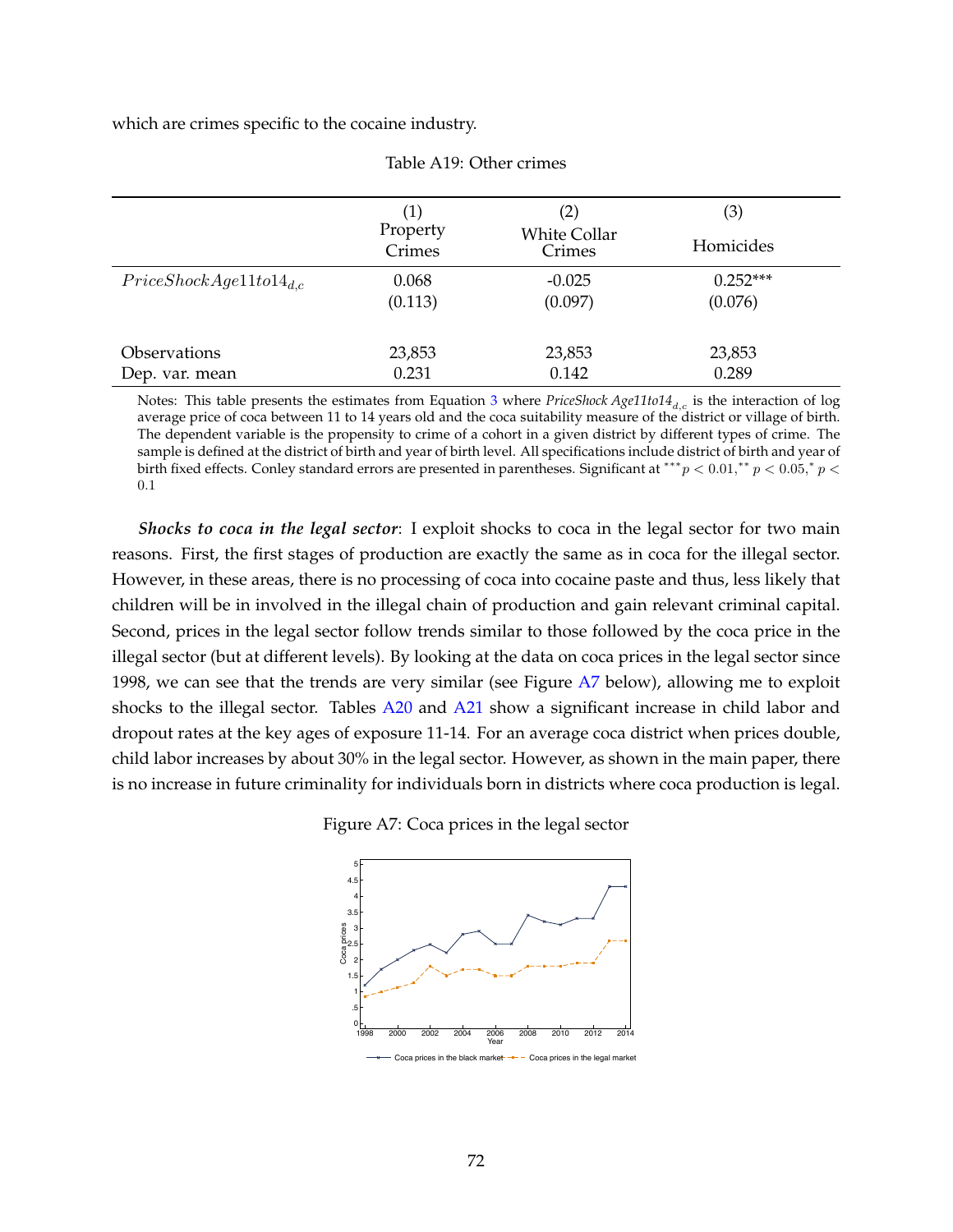which are crimes specific to the cocaine industry.

<span id="page-21-0"></span>

|                                | (1)<br>Property<br>Crimes | (2)<br><b>White Collar</b><br>Crimes | (3)<br>Homicides      |  |
|--------------------------------|---------------------------|--------------------------------------|-----------------------|--|
| $Price ShockAge11 to 14_{d.c}$ | 0.068<br>(0.113)          | $-0.025$<br>(0.097)                  | $0.252***$<br>(0.076) |  |
| Observations<br>Dep. var. mean | 23,853<br>0.231           | 23,853<br>0.142                      | 23,853<br>0.289       |  |

Table A19: Other crimes

Notes: This table presents the estimates from Equation [3](#page--1-2) where *PriceShock Age11to14<sub>dc</sub>* is the interaction of log average price of coca between 11 to 14 years old and the coca suitability measure of the district or village of birth. The dependent variable is the propensity to crime of a cohort in a given district by different types of crime. The sample is defined at the district of birth and year of birth level. All specifications include district of birth and year of birth fixed effects. Conley standard errors are presented in parentheses. Significant at \*\*\*  $p < 0.01$ ,\*\*  $p < 0.05$ ,\*  $p <$ 0.1

*Shocks to coca in the legal sector*: I exploit shocks to coca in the legal sector for two main reasons. First, the first stages of production are exactly the same as in coca for the illegal sector. However, in these areas, there is no processing of coca into cocaine paste and thus, less likely that children will be in involved in the illegal chain of production and gain relevant criminal capital. Second, prices in the legal sector follow trends similar to those followed by the coca price in the illegal sector (but at different levels). By looking at the data on coca prices in the legal sector since 1998, we can see that the trends are very similar (see Figure [A7](#page-21-1) below), allowing me to exploit shocks to the illegal sector. Tables [A20](#page-22-0) and [A21](#page-22-1) show a significant increase in child labor and dropout rates at the key ages of exposure 11-14. For an average coca district when prices double, child labor increases by about 30% in the legal sector. However, as shown in the main paper, there is no increase in future criminality for individuals born in districts where coca production is legal.

<span id="page-21-1"></span>Figure A7: Coca prices in the legal sector

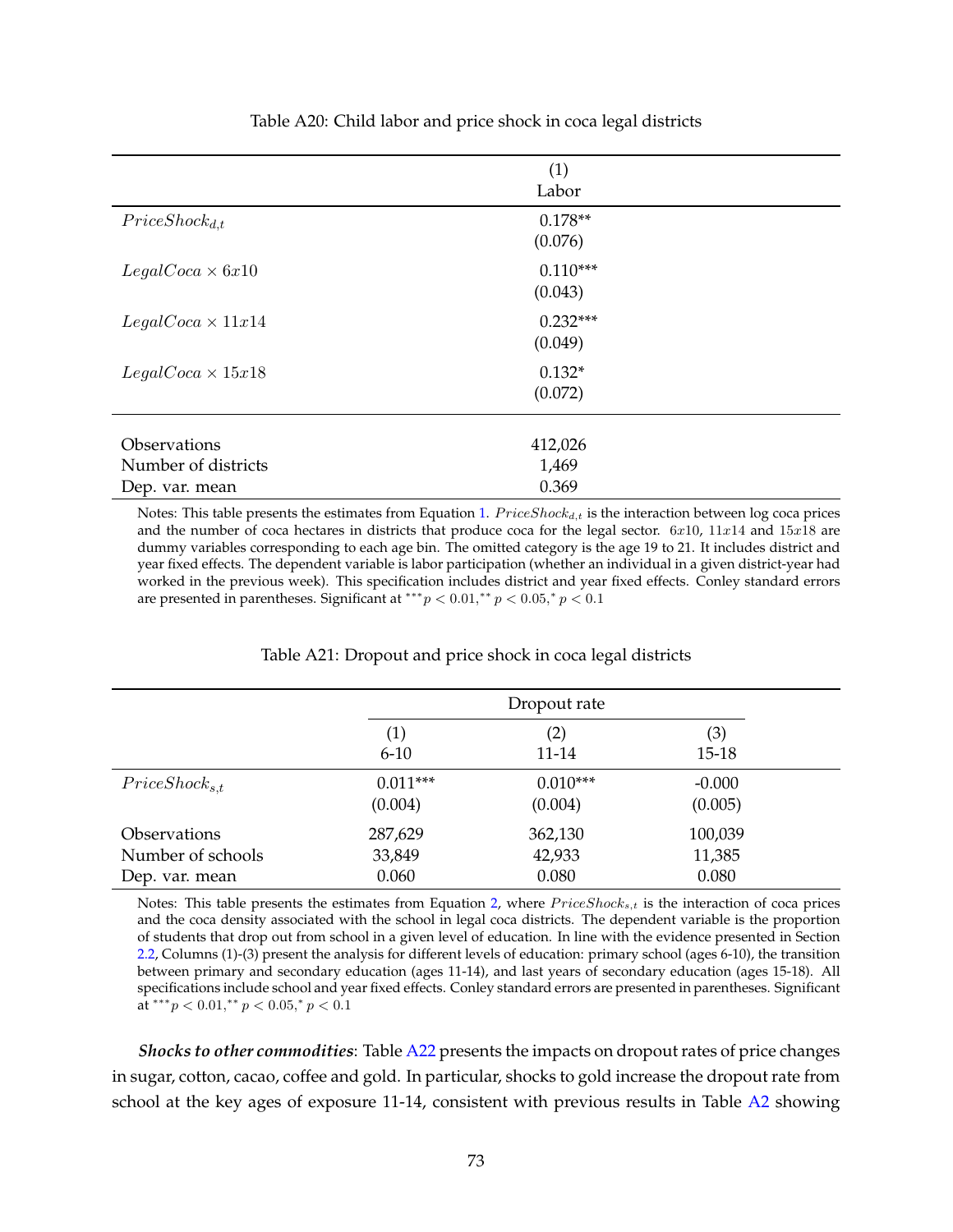<span id="page-22-0"></span>

|                          | (1)        |  |
|--------------------------|------------|--|
|                          | Labor      |  |
| $Price Shock_{d,t}$      | $0.178**$  |  |
|                          | (0.076)    |  |
| $LegalCoca \times 6x10$  | $0.110***$ |  |
|                          | (0.043)    |  |
| $LegalCoca \times 11x14$ | $0.232***$ |  |
|                          | (0.049)    |  |
| $LegalCoca \times 15x18$ | $0.132*$   |  |
|                          | (0.072)    |  |
|                          |            |  |
| Observations             | 412,026    |  |
| Number of districts      | 1,469      |  |
| Dep. var. mean           | 0.369      |  |

Table A20: Child labor and price shock in coca legal districts

Notes: This table presents the estimates from Equation [1.](#page--1-35)  $Price Shock_{d,t}$  is the interaction between log coca prices and the number of coca hectares in districts that produce coca for the legal sector.  $6x10$ ,  $11x14$  and  $15x18$  are dummy variables corresponding to each age bin. The omitted category is the age 19 to 21. It includes district and year fixed effects. The dependent variable is labor participation (whether an individual in a given district-year had worked in the previous week). This specification includes district and year fixed effects. Conley standard errors are presented in parentheses. Significant at \*\*\*  $p < 0.01$ ,\*\*  $p < 0.05$ ,\*  $p < 0.1$ 

<span id="page-22-1"></span>

|                            |                       | Dropout rate          |                     |  |
|----------------------------|-----------------------|-----------------------|---------------------|--|
|                            | (1)<br>$6 - 10$       | $\rm(2)$<br>11-14     | (3)<br>$15 - 18$    |  |
| $Price Shock_{s,t}$        | $0.011***$<br>(0.004) | $0.010***$<br>(0.004) | $-0.000$<br>(0.005) |  |
| <i><b>Observations</b></i> | 287,629               | 362,130               | 100,039             |  |
| Number of schools          | 33,849                | 42,933                | 11,385              |  |
| Dep. var. mean             | 0.060                 | 0.080                 | 0.080               |  |

#### Table A21: Dropout and price shock in coca legal districts

Notes: This table presents the estimates from Equation [2,](#page--1-1) where  $Price Shock_{s,t}$  is the interaction of coca prices and the coca density associated with the school in legal coca districts. The dependent variable is the proportion of students that drop out from school in a given level of education. In line with the evidence presented in Section [2.2,](#page--1-36) Columns (1)-(3) present the analysis for different levels of education: primary school (ages 6-10), the transition between primary and secondary education (ages 11-14), and last years of secondary education (ages 15-18). All specifications include school and year fixed effects. Conley standard errors are presented in parentheses. Significant at \*\*\* $p < 0.01$ ,\*\* $p < 0.05$ ,\* $p < 0.1$ 

*Shocks to other commodities*: Table [A22](#page-23-0) presents the impacts on dropout rates of price changes in sugar, cotton, cacao, coffee and gold. In particular, shocks to gold increase the dropout rate from school at the key ages of exposure 11-14, consistent with previous results in Table [A2](#page-2-0) showing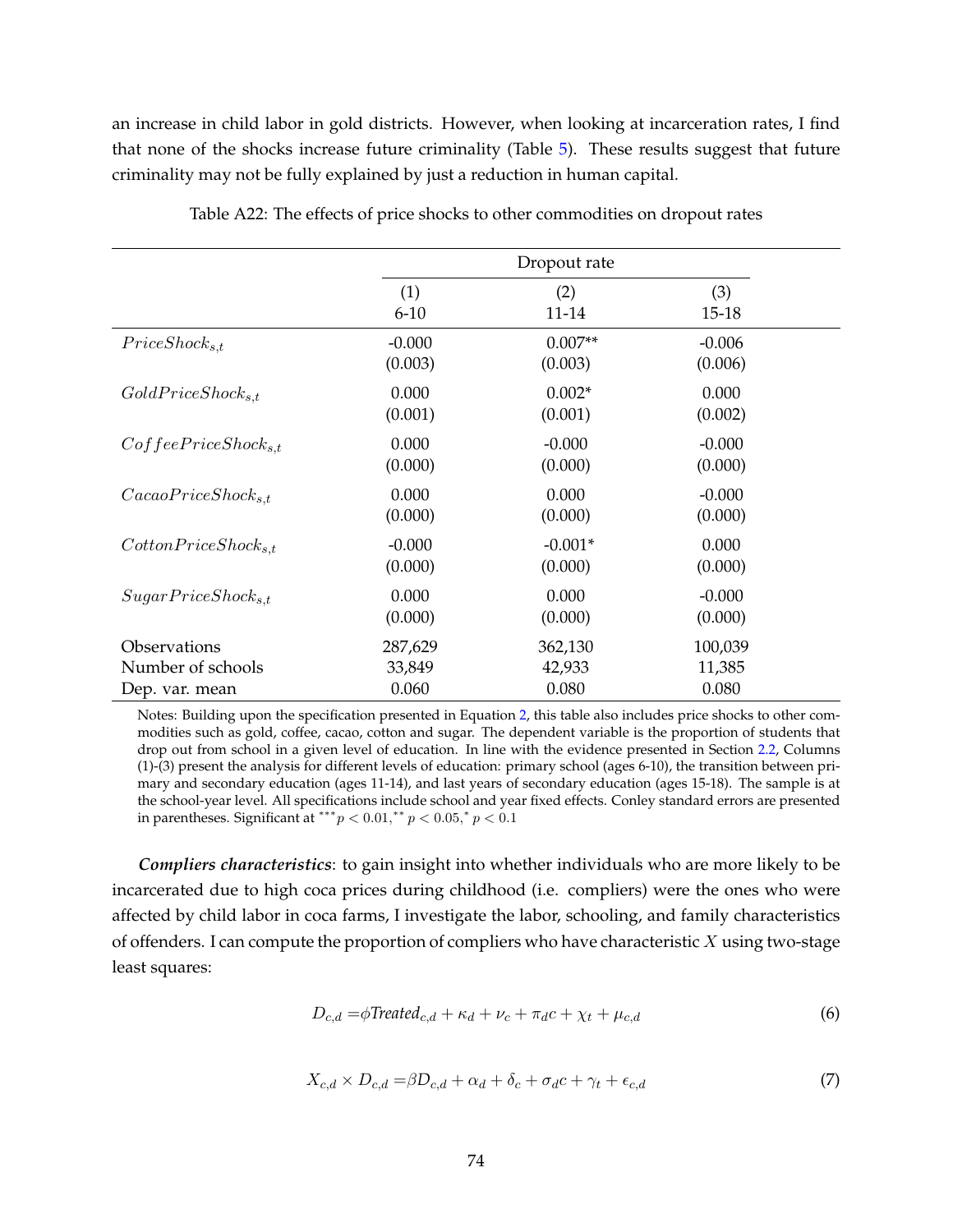an increase in child labor in gold districts. However, when looking at incarceration rates, I find that none of the shocks increase future criminality (Table [5\)](#page--1-35). These results suggest that future criminality may not be fully explained by just a reduction in human capital.

<span id="page-23-0"></span>

|                                 |          | Dropout rate |           |
|---------------------------------|----------|--------------|-----------|
|                                 | (1)      | (2)          | (3)       |
|                                 | $6 - 10$ | 11-14        | $15 - 18$ |
| $Price Shock_{s,t}$             | $-0.000$ | $0.007**$    | $-0.006$  |
|                                 | (0.003)  | (0.003)      | (0.006)   |
| $GoldPrice Shock_{s,t}$         | 0.000    | $0.002*$     | 0.000     |
|                                 | (0.001)  | (0.001)      | (0.002)   |
| $Cof feePrice Shock_{s,t}$      | 0.000    | $-0.000$     | $-0.000$  |
|                                 | (0.000)  | (0.000)      | (0.000)   |
| CacaoPrice Shock <sub>s.t</sub> | 0.000    | 0.000        | $-0.000$  |
|                                 | (0.000)  | (0.000)      | (0.000)   |
| $CottomPrice Shock_{s,t}$       | $-0.000$ | $-0.001*$    | 0.000     |
|                                 | (0.000)  | (0.000)      | (0.000)   |
| $SugarPrice Shock_{s,t}$        | 0.000    | 0.000        | $-0.000$  |
|                                 | (0.000)  | (0.000)      | (0.000)   |
| <i><b>Observations</b></i>      | 287,629  | 362,130      | 100,039   |
| Number of schools               | 33,849   | 42,933       | 11,385    |
| Dep. var. mean                  | 0.060    | 0.080        | 0.080     |

Table A22: The effects of price shocks to other commodities on dropout rates

Notes: Building upon the specification presented in Equation [2,](#page--1-1) this table also includes price shocks to other commodities such as gold, coffee, cacao, cotton and sugar. The dependent variable is the proportion of students that drop out from school in a given level of education. In line with the evidence presented in Section [2.2,](#page--1-36) Columns (1)-(3) present the analysis for different levels of education: primary school (ages 6-10), the transition between primary and secondary education (ages 11-14), and last years of secondary education (ages 15-18). The sample is at the school-year level. All specifications include school and year fixed effects. Conley standard errors are presented in parentheses. Significant at \*\*\*  $p < 0.01$ ,\*\*  $p < 0.05$ ,\*  $p < 0.1$ 

*Compliers characteristics*: to gain insight into whether individuals who are more likely to be incarcerated due to high coca prices during childhood (i.e. compliers) were the ones who were affected by child labor in coca farms, I investigate the labor, schooling, and family characteristics of offenders. I can compute the proportion of compliers who have characteristic  $X$  using two-stage least squares:

$$
D_{c,d} = \phi \text{Treated}_{c,d} + \kappa_d + \nu_c + \pi_d c + \chi_t + \mu_{c,d} \tag{6}
$$

<span id="page-23-1"></span>
$$
X_{c,d} \times D_{c,d} = \beta D_{c,d} + \alpha_d + \delta_c + \sigma_d c + \gamma_t + \epsilon_{c,d} \tag{7}
$$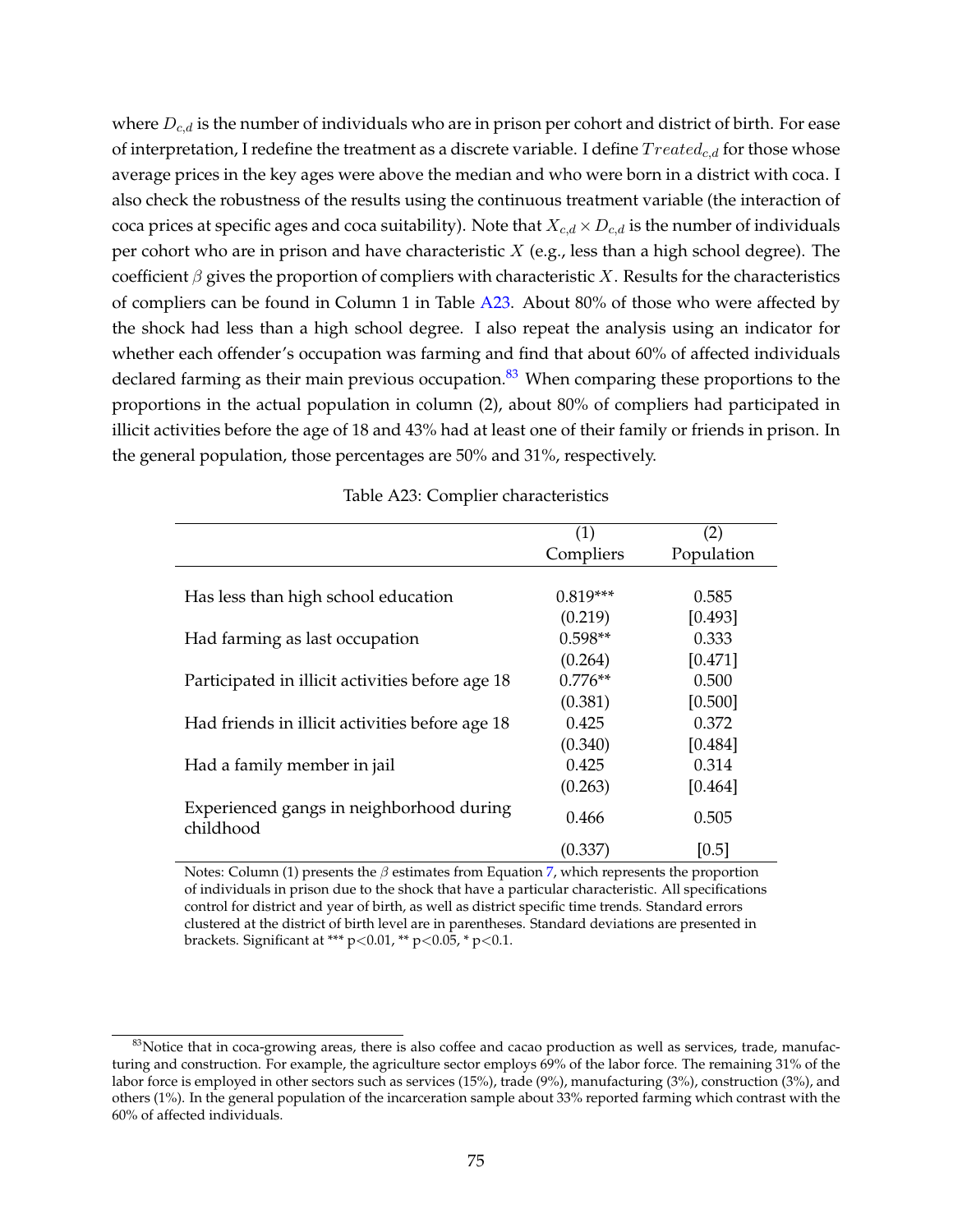where  $D_{c,d}$  is the number of individuals who are in prison per cohort and district of birth. For ease of interpretation, I redefine the treatment as a discrete variable. I define  $Treated_{c,d}$  for those whose average prices in the key ages were above the median and who were born in a district with coca. I also check the robustness of the results using the continuous treatment variable (the interaction of coca prices at specific ages and coca suitability). Note that  $X_{c,d} \times D_{c,d}$  is the number of individuals per cohort who are in prison and have characteristic  $X$  (e.g., less than a high school degree). The coefficient  $\beta$  gives the proportion of compliers with characteristic X. Results for the characteristics of compliers can be found in Column 1 in Table [A23.](#page-24-0) About 80% of those who were affected by the shock had less than a high school degree. I also repeat the analysis using an indicator for whether each offender's occupation was farming and find that about 60% of affected individuals declared farming as their main previous occupation.<sup>[83](#page-24-1)</sup> When comparing these proportions to the proportions in the actual population in column (2), about 80% of compliers had participated in illicit activities before the age of 18 and 43% had at least one of their family or friends in prison. In the general population, those percentages are 50% and 31%, respectively.

<span id="page-24-0"></span>

|                                                       | (1)        | (2)        |
|-------------------------------------------------------|------------|------------|
|                                                       | Compliers  | Population |
|                                                       |            |            |
| Has less than high school education                   | $0.819***$ | 0.585      |
|                                                       | (0.219)    | [0.493]    |
| Had farming as last occupation                        | $0.598**$  | 0.333      |
|                                                       | (0.264)    | [0.471]    |
| Participated in illicit activities before age 18      | $0.776**$  | 0.500      |
|                                                       | (0.381)    | [0.500]    |
| Had friends in illicit activities before age 18       | 0.425      | 0.372      |
|                                                       | (0.340)    | [0.484]    |
| Had a family member in jail                           | 0.425      | 0.314      |
|                                                       | (0.263)    | [0.464]    |
| Experienced gangs in neighborhood during<br>childhood | 0.466      | 0.505      |
|                                                       | (0.337)    | [0.5]      |

Table A23: Complier characteristics

Notes: Column (1) presents the  $\beta$  estimates from Equation [7,](#page-23-1) which represents the proportion of individuals in prison due to the shock that have a particular characteristic. All specifications control for district and year of birth, as well as district specific time trends. Standard errors clustered at the district of birth level are in parentheses. Standard deviations are presented in brackets. Significant at \*\*\*  $p < 0.01$ , \*\*  $p < 0.05$ , \*  $p < 0.1$ .

<span id="page-24-1"></span> $83$ Notice that in coca-growing areas, there is also coffee and cacao production as well as services, trade, manufacturing and construction. For example, the agriculture sector employs 69% of the labor force. The remaining 31% of the labor force is employed in other sectors such as services (15%), trade (9%), manufacturing (3%), construction (3%), and others (1%). In the general population of the incarceration sample about 33% reported farming which contrast with the 60% of affected individuals.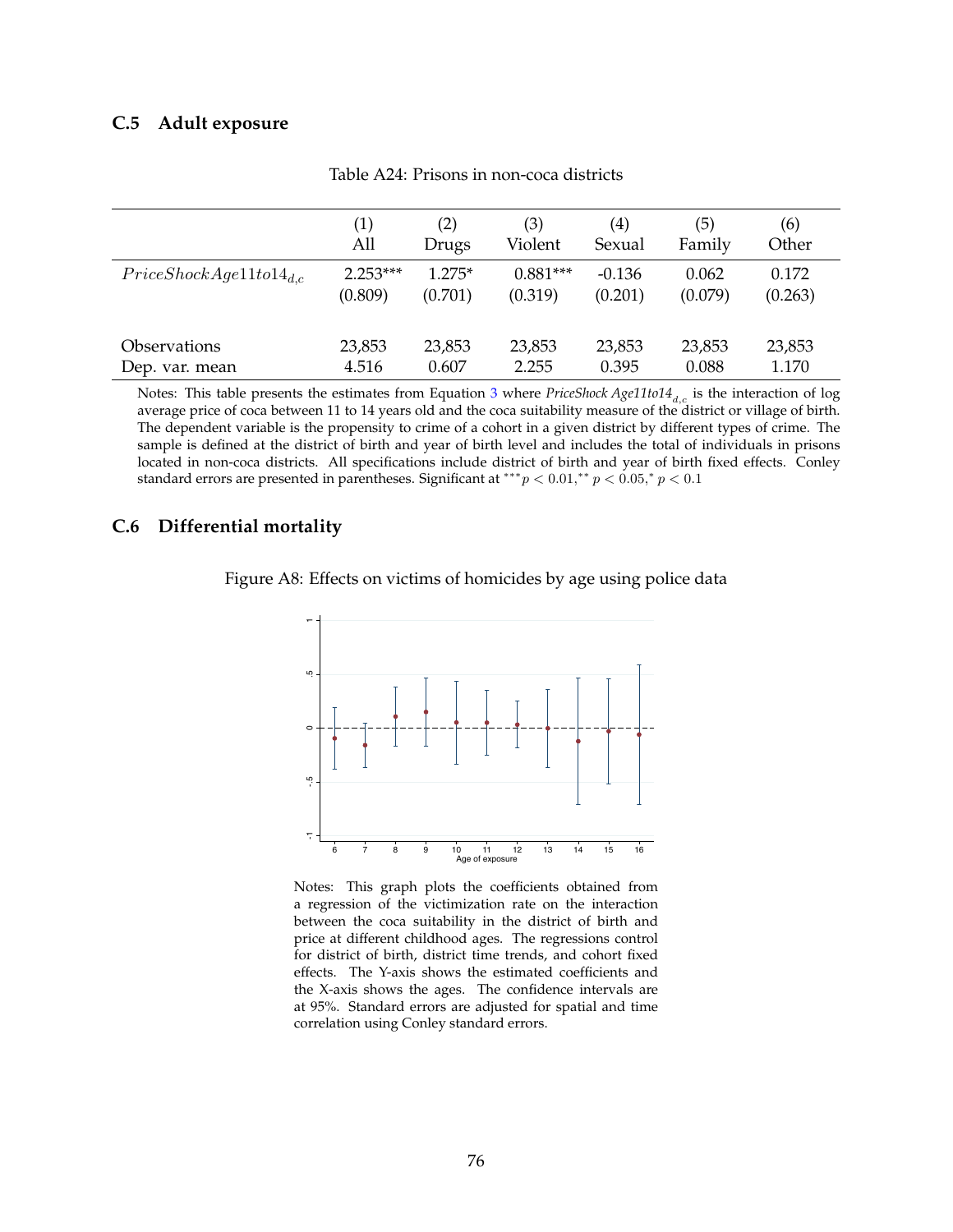#### **C.5 Adult exposure**

|                                 | $\left( 1\right)$ | (2)      | (3)        | $\left( 4\right)$ | (5)     | (6)     |
|---------------------------------|-------------------|----------|------------|-------------------|---------|---------|
|                                 | All               | Drugs    | Violent    | Sexual            | Family  | Other   |
| $Price ShockAge11 to 14_{d.c.}$ | $2.253***$        | $1.275*$ | $0.881***$ | $-0.136$          | 0.062   | 0.172   |
|                                 | (0.809)           | (0.701)  | (0.319)    | (0.201)           | (0.079) | (0.263) |
| <i><b>Observations</b></i>      | 23,853            | 23,853   | 23,853     | 23,853            | 23,853  | 23,853  |
| Dep. var. mean                  | 4.516             | 0.607    | 2.255      | 0.395             | 0.088   | 1.170   |

Table A24: Prisons in non-coca districts

Notes: This table presents the estimates from Equation [3](#page--1-2) where *PriceShock Age11to14<sub>d,c</sub>* is the interaction of log average price of coca between 11 to 14 years old and the coca suitability measure of the district or village of birth. The dependent variable is the propensity to crime of a cohort in a given district by different types of crime. The sample is defined at the district of birth and year of birth level and includes the total of individuals in prisons located in non-coca districts. All specifications include district of birth and year of birth fixed effects. Conley standard errors are presented in parentheses. Significant at \*\*\*  $p < 0.01$ ,\*\*  $p < 0.05$ ,\*  $p < 0.1$ 

#### **C.6 Differential mortality**





Notes: This graph plots the coefficients obtained from a regression of the victimization rate on the interaction between the coca suitability in the district of birth and price at different childhood ages. The regressions control for district of birth, district time trends, and cohort fixed effects. The Y-axis shows the estimated coefficients and the X-axis shows the ages. The confidence intervals are at 95%. Standard errors are adjusted for spatial and time correlation using Conley standard errors.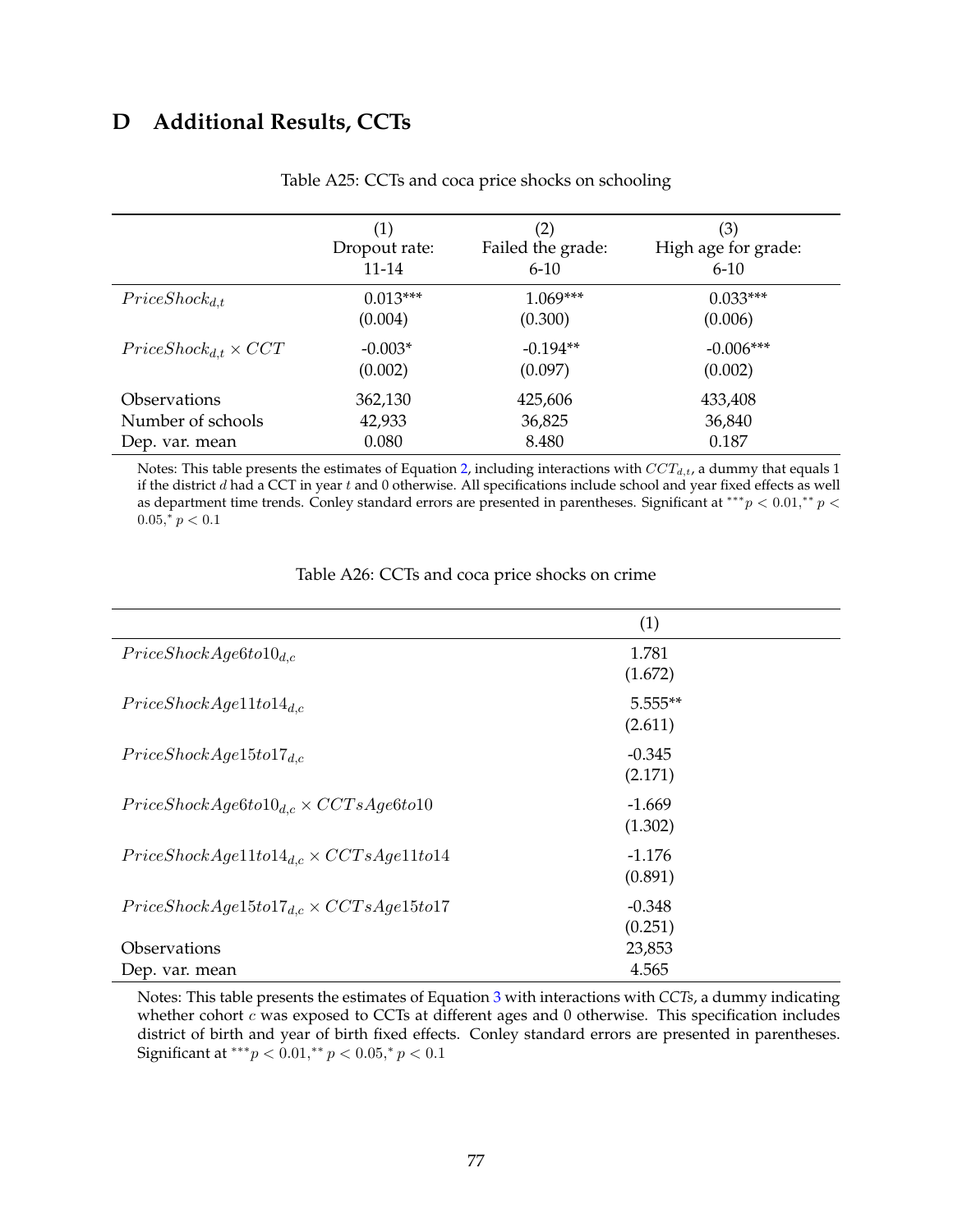# **D Additional Results, CCTs**

|                                | (1)<br>Dropout rate:<br>11-14 | $\left( 2\right)$<br>Failed the grade:<br>$6 - 10$ | (3)<br>High age for grade:<br>$6 - 10$ |
|--------------------------------|-------------------------------|----------------------------------------------------|----------------------------------------|
| $Price Shock_{d,t}$            | $0.013***$                    | $1.069***$                                         | $0.033***$                             |
|                                | (0.004)                       | (0.300)                                            | (0.006)                                |
| $Price Shock_{d,t} \times CCT$ | $-0.003*$                     | $-0.194**$                                         | $-0.006***$                            |
|                                | (0.002)                       | (0.097)                                            | (0.002)                                |
| <i><b>Observations</b></i>     | 362,130                       | 425,606                                            | 433,408                                |
| Number of schools              | 42,933                        | 36,825                                             | 36,840                                 |
| Dep. var. mean                 | 0.080                         | 8.480                                              | 0.187                                  |

Table A25: CCTs and coca price shocks on schooling

Notes: This table presents the estimates of Equation [2,](#page--1-1) including interactions with  $CCT_{d,t}$ , a dummy that equals 1 if the district  $d$  had a CCT in year  $t$  and 0 otherwise. All specifications include school and year fixed effects as well as department time trends. Conley standard errors are presented in parentheses. Significant at \*\*\* $p < 0.01$ ,\*\*  $p <$  $0.05, \frac{1}{r} p < 0.1$ 

|                                                       | (1)                  |  |
|-------------------------------------------------------|----------------------|--|
| $Price ShockAge6 to 10_{d,c}$                         | 1.781<br>(1.672)     |  |
| $Price ShockAge11 to 14_{d.c.}$                       | $5.555**$<br>(2.611) |  |
| $Price ShockAge15 to 17_{d.c.}$                       | $-0.345$<br>(2.171)  |  |
| $Price ShockAge6 to 10d.c \times CCTsAge6 to 10$      | $-1.669$<br>(1.302)  |  |
| $Price ShockAge11 to 14_{d,c} \times CCTsAge11 to 14$ | $-1.176$<br>(0.891)  |  |
| $Price ShockAge15 to 17_{d,c} \times CCTsAge15 to 17$ | $-0.348$<br>(0.251)  |  |
| Observations                                          | 23,853               |  |
| Dep. var. mean                                        | 4.565                |  |

Table A26: CCTs and coca price shocks on crime

Notes: This table presents the estimates of Equation [3](#page--1-2) with interactions with *CCTs*, a dummy indicating whether cohort  $c$  was exposed to CCTs at different ages and  $0$  otherwise. This specification includes district of birth and year of birth fixed effects. Conley standard errors are presented in parentheses. Significant at \*\*\* $p < 0.01$ ,\*\*  $p < 0.05$ ,\*  $p < 0.1$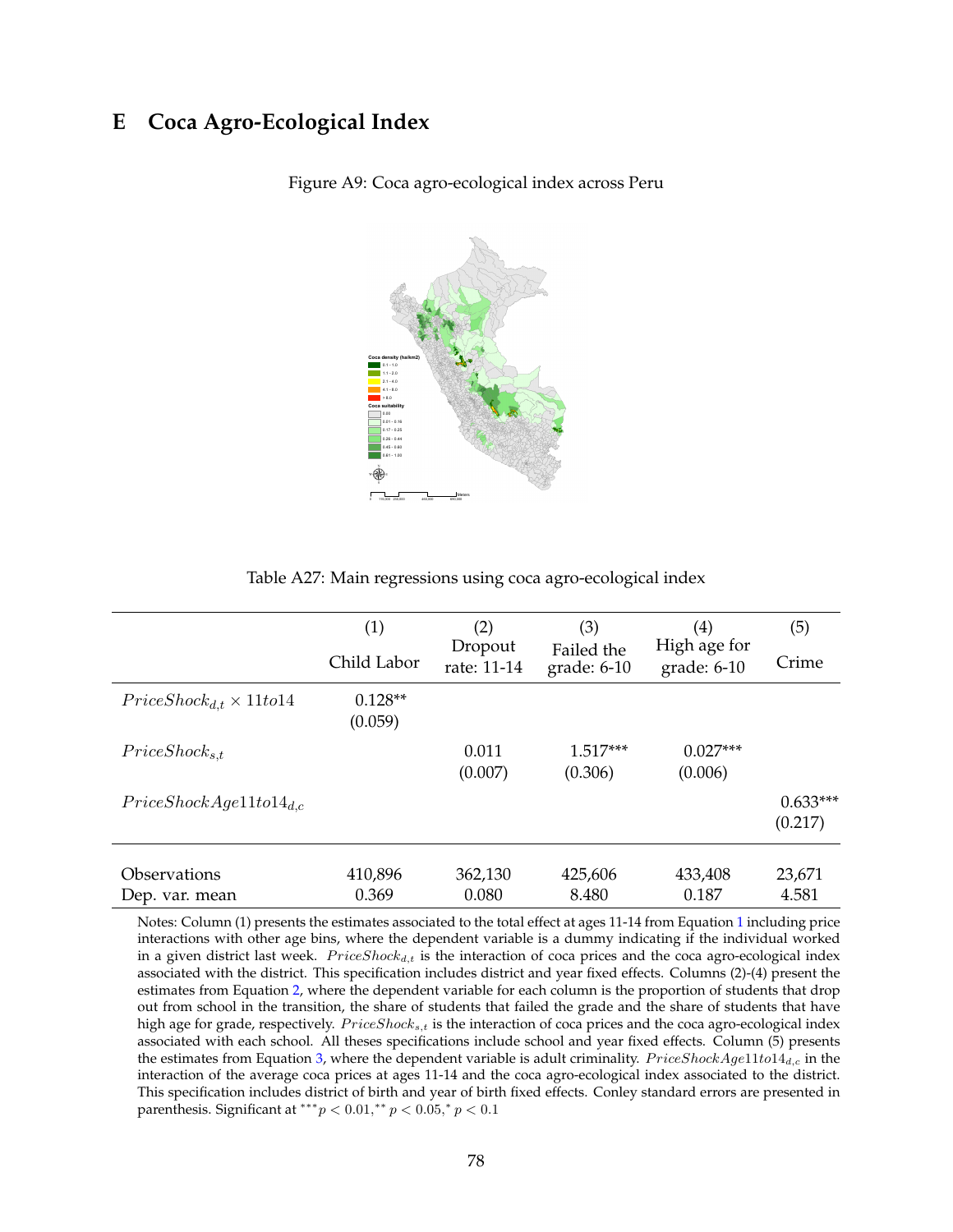## **E Coca Agro-Ecological Index**



Figure A9: Coca agro-ecological index across Peru

|                                     | (1)                  | (2)                    | (3)                         | (4)                           | (5)        |
|-------------------------------------|----------------------|------------------------|-----------------------------|-------------------------------|------------|
|                                     | Child Labor          | Dropout<br>rate: 11-14 | Failed the<br>grade: $6-10$ | High age for<br>grade: $6-10$ | Crime      |
| $Price Shock_{d,t} \times 11 to 14$ | $0.128**$<br>(0.059) |                        |                             |                               |            |
| $Price Shock_{s,t}$                 |                      | 0.011                  | $1.517***$                  | $0.027***$                    |            |
|                                     |                      | (0.007)                | (0.306)                     | (0.006)                       |            |
| $Price ShockAge11 to 14_{d.c.}$     |                      |                        |                             |                               | $0.633***$ |
|                                     |                      |                        |                             |                               | (0.217)    |
| Observations                        | 410,896              | 362,130                | 425,606                     | 433,408                       | 23,671     |
| Dep. var. mean                      | 0.369                | 0.080                  | 8.480                       | 0.187                         | 4.581      |

Table A27: Main regressions using coca agro-ecological index

Notes: Column (1) presents the estimates associated to the total effect at ages 11-14 from Equation [1](#page--1-0) including price interactions with other age bins, where the dependent variable is a dummy indicating if the individual worked in a given district last week.  $Price Shock_{d,t}$  is the interaction of coca prices and the coca agro-ecological index associated with the district. This specification includes district and year fixed effects. Columns (2)-(4) present the estimates from Equation [2,](#page--1-1) where the dependent variable for each column is the proportion of students that drop out from school in the transition, the share of students that failed the grade and the share of students that have high age for grade, respectively.  $PriceShock_{s,t}$  is the interaction of coca prices and the coca agro-ecological index associated with each school. All theses specifications include school and year fixed effects. Column (5) presents the estimates from Equation [3,](#page--1-2) where the dependent variable is adult criminality.  $Price ShockAge11to14_{d,c}$  in the interaction of the average coca prices at ages 11-14 and the coca agro-ecological index associated to the district. This specification includes district of birth and year of birth fixed effects. Conley standard errors are presented in parenthesis. Significant at \*\*\*  $p < 0.01$ ,\*\*  $p < 0.05$ ,\*  $p < 0.1$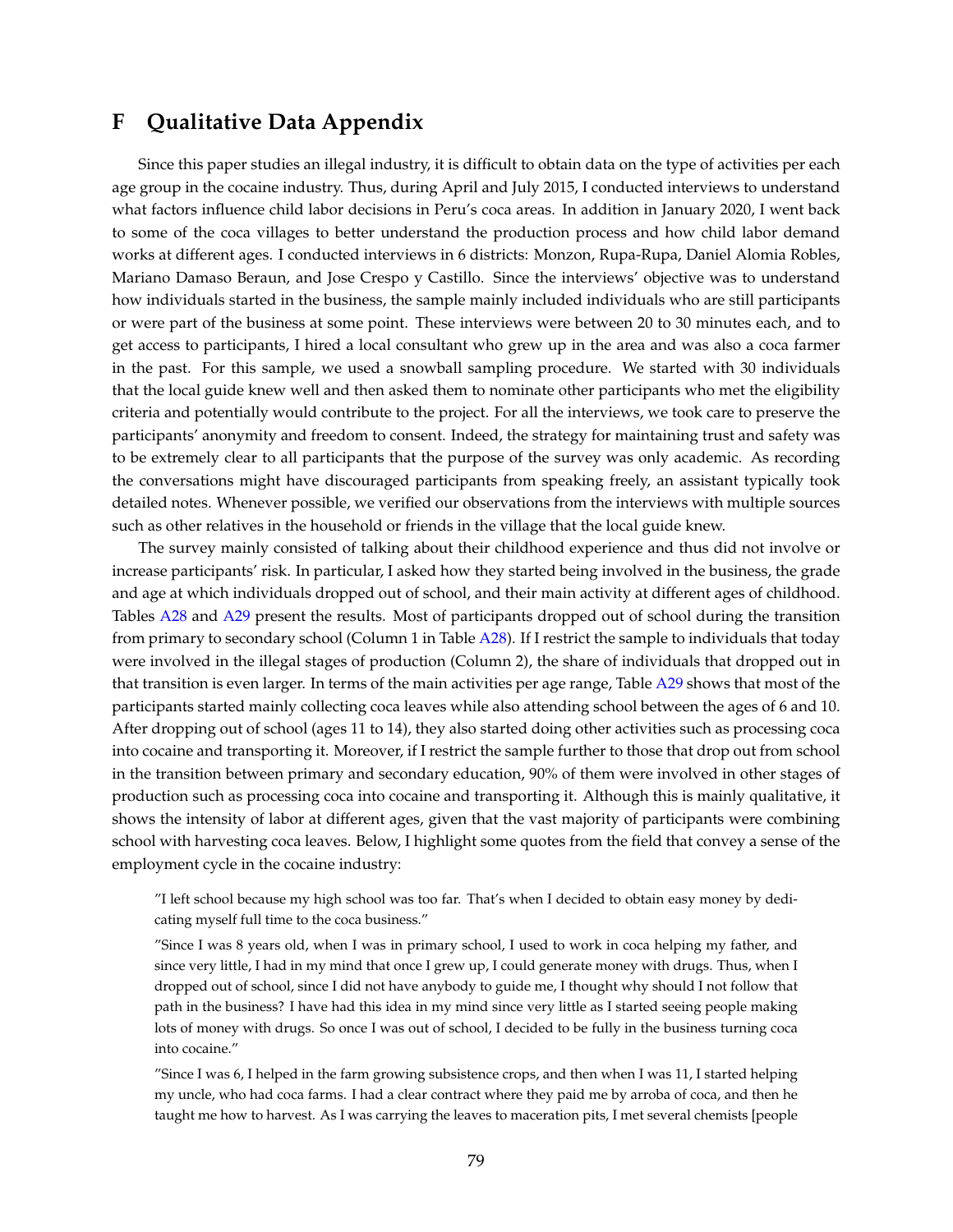## **F Qualitative Data Appendix**

Since this paper studies an illegal industry, it is difficult to obtain data on the type of activities per each age group in the cocaine industry. Thus, during April and July 2015, I conducted interviews to understand what factors influence child labor decisions in Peru's coca areas. In addition in January 2020, I went back to some of the coca villages to better understand the production process and how child labor demand works at different ages. I conducted interviews in 6 districts: Monzon, Rupa-Rupa, Daniel Alomia Robles, Mariano Damaso Beraun, and Jose Crespo y Castillo. Since the interviews' objective was to understand how individuals started in the business, the sample mainly included individuals who are still participants or were part of the business at some point. These interviews were between 20 to 30 minutes each, and to get access to participants, I hired a local consultant who grew up in the area and was also a coca farmer in the past. For this sample, we used a snowball sampling procedure. We started with 30 individuals that the local guide knew well and then asked them to nominate other participants who met the eligibility criteria and potentially would contribute to the project. For all the interviews, we took care to preserve the participants' anonymity and freedom to consent. Indeed, the strategy for maintaining trust and safety was to be extremely clear to all participants that the purpose of the survey was only academic. As recording the conversations might have discouraged participants from speaking freely, an assistant typically took detailed notes. Whenever possible, we verified our observations from the interviews with multiple sources such as other relatives in the household or friends in the village that the local guide knew.

The survey mainly consisted of talking about their childhood experience and thus did not involve or increase participants' risk. In particular, I asked how they started being involved in the business, the grade and age at which individuals dropped out of school, and their main activity at different ages of childhood. Tables [A28](#page-29-0) and [A29](#page-29-1) present the results. Most of participants dropped out of school during the transition from primary to secondary school (Column 1 in Table [A28\)](#page-29-0). If I restrict the sample to individuals that today were involved in the illegal stages of production (Column 2), the share of individuals that dropped out in that transition is even larger. In terms of the main activities per age range, Table [A29](#page-29-1) shows that most of the participants started mainly collecting coca leaves while also attending school between the ages of 6 and 10. After dropping out of school (ages 11 to 14), they also started doing other activities such as processing coca into cocaine and transporting it. Moreover, if I restrict the sample further to those that drop out from school in the transition between primary and secondary education, 90% of them were involved in other stages of production such as processing coca into cocaine and transporting it. Although this is mainly qualitative, it shows the intensity of labor at different ages, given that the vast majority of participants were combining school with harvesting coca leaves. Below, I highlight some quotes from the field that convey a sense of the employment cycle in the cocaine industry:

"I left school because my high school was too far. That's when I decided to obtain easy money by dedicating myself full time to the coca business."

"Since I was 8 years old, when I was in primary school, I used to work in coca helping my father, and since very little, I had in my mind that once I grew up, I could generate money with drugs. Thus, when I dropped out of school, since I did not have anybody to guide me, I thought why should I not follow that path in the business? I have had this idea in my mind since very little as I started seeing people making lots of money with drugs. So once I was out of school, I decided to be fully in the business turning coca into cocaine."

"Since I was 6, I helped in the farm growing subsistence crops, and then when I was 11, I started helping my uncle, who had coca farms. I had a clear contract where they paid me by arroba of coca, and then he taught me how to harvest. As I was carrying the leaves to maceration pits, I met several chemists [people